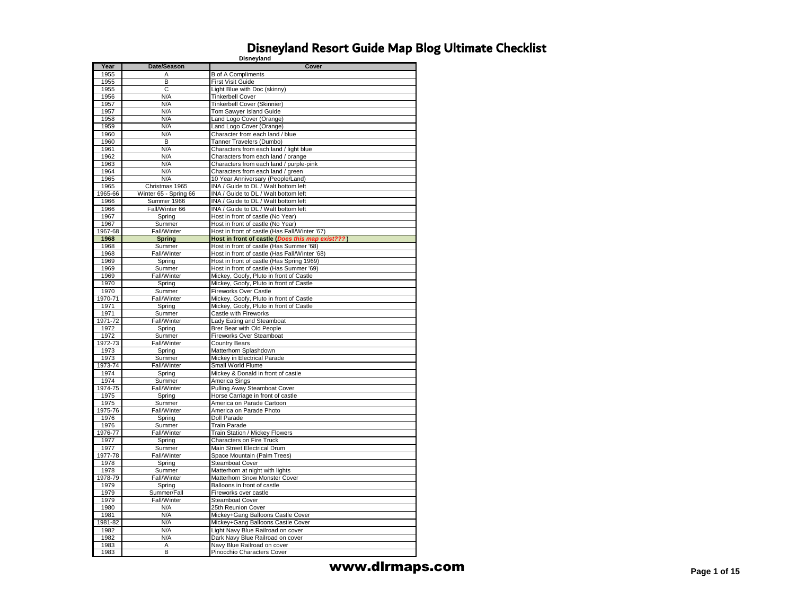| Year         | Date/Season           | Disneyiand<br>Cover                              |  |
|--------------|-----------------------|--------------------------------------------------|--|
| 1955         |                       | <b>B</b> of A Compliments                        |  |
| 1955         | Α<br>В                | <b>First Visit Guide</b>                         |  |
| 1955         | C                     | Light Blue with Doc (skinny)                     |  |
| 1956         | N/A                   | <b>Tinkerbell Cover</b>                          |  |
| 1957         | N/A                   | Tinkerbell Cover (Skinnier)                      |  |
| 1957         | N/A                   | Tom Sawyer Island Guide                          |  |
| 1958         | N/A                   | Land Logo Cover (Orange)                         |  |
| 1959         | N/A                   | Land Logo Cover (Orange)                         |  |
| 1960         | N/A                   | Character from each land / blue                  |  |
| 1960         | B                     | Tanner Travelers (Dumbo)                         |  |
| 1961         | N/A                   | Characters from each land / light blue           |  |
| 1962         | N/A                   | Characters from each land / orange               |  |
| 1963         | N/A                   | Characters from each land / purple-pink          |  |
| 1964         | N/A                   | Characters from each land / green                |  |
| 1965         | N/A                   | 10 Year Anniversary (People/Land)                |  |
| 1965         | Christmas 1965        | INA / Guide to DL / Walt bottom left             |  |
| 1965-66      | Winter 65 - Spring 66 | INA / Guide to DL / Walt bottom left             |  |
| 1966         | Summer 1966           | INA / Guide to DL / Walt bottom left             |  |
| 1966         | Fall/Winter 66        | INA / Guide to DL / Walt bottom left             |  |
| 1967         | Spring                | Host in front of castle (No Year)                |  |
| 1967         | Summer                | Host in front of castle (No Year)                |  |
| 1967-68      | Fall/Winter           | Host in front of castle (Has Fall/Winter '67)    |  |
| 1968         | <b>Spring</b>         | Host in front of castle (Does this map exist???) |  |
| 1968         | Summer                | Host in front of castle (Has Summer '68)         |  |
| 1968         | <b>Fall/Winter</b>    | Host in front of castle (Has Fall/Winter '68)    |  |
| 1969         | Spring                | Host in front of castle (Has Spring 1969)        |  |
| 1969         | Summer                | Host in front of castle (Has Summer '69)         |  |
| 1969         | Fall/Winter           | Mickey, Goofy, Pluto in front of Castle          |  |
| 1970         | Spring                | Mickey, Goofy, Pluto in front of Castle          |  |
| 1970         | Summer                | <b>Fireworks Over Castle</b>                     |  |
| 1970-71      | Fall/Winter           | Mickey, Goofy, Pluto in front of Castle          |  |
| 1971         | Spring                | Mickey, Goofy, Pluto in front of Castle          |  |
| 1971         | Summer                | Castle with Fireworks                            |  |
| 1971-72      | <b>Fall/Winter</b>    | Lady Eating and Steamboat                        |  |
| 1972         | Spring                | Brer Bear with Old People                        |  |
| 1972         | Summer                | <b>Fireworks Over Steamboat</b>                  |  |
| 1972-73      | Fall/Winter           | <b>Country Bears</b>                             |  |
| 1973         | Spring                | Matterhorn Splashdown                            |  |
| 1973         | Summer                | Mickey in Electrical Parade                      |  |
| 1973-74      | Fall/Winter           | Small World Flume                                |  |
| 1974<br>1974 | Spring                | Mickey & Donald in front of castle               |  |
| 1974-75      | Summer<br>Fall/Winter | America Sings<br>Pulling Away Steamboat Cover    |  |
| 1975         | Spring                | Horse Carriage in front of castle                |  |
| 1975         | Summer                | America on Parade Cartoon                        |  |
| 1975-76      | Fall/Winter           | America on Parade Photo                          |  |
| 1976         | Spring                | <b>Doll Parade</b>                               |  |
| 1976         | Summer                | <b>Train Parade</b>                              |  |
| 1976-77      | Fall/Winter           | Train Station / Mickey Flowers                   |  |
| 1977         | Spring                | Characters on Fire Truck                         |  |
| 1977         | Summer                | Main Street Electrical Drum                      |  |
| 1977-78      | Fall/Winter           | Space Mountain (Palm Trees)                      |  |
| 1978         | Spring                | Steamboat Cover                                  |  |
| 1978         | Summer                | Matterhorn at night with lights                  |  |
| 1978-79      | Fall/Winter           | Matterhorn Snow Monster Cover                    |  |
| 1979         | Spring                | Balloons in front of castle                      |  |
| 1979         | Summer/Fall           | Fireworks over castle                            |  |
| 1979         | Fall/Winter           | Steamboat Cover                                  |  |
| 1980         | N/A                   | 25th Reunion Cover                               |  |
| 1981         | N/A                   | Mickey+Gang Balloons Castle Cover                |  |
| 1981-82      | N/A                   | Mickey+Gang Balloons Castle Cover                |  |
| 1982         | N/A                   | Light Navy Blue Railroad on cover                |  |
| 1982         | N/A                   | Dark Navy Blue Railroad on cover                 |  |
| 1983         | Α                     | Navy Blue Railroad on cover                      |  |
| 1983         | B                     | Pinocchio Characters Cover                       |  |

**www.dlrmaps.com** Page 1 of 15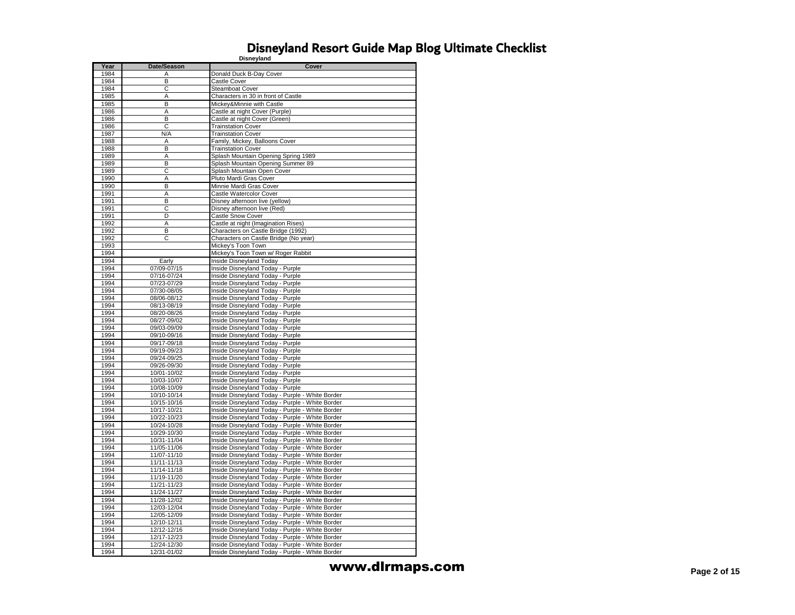| Year         | Date/Season                | Disneyland<br>Cover                                                  |
|--------------|----------------------------|----------------------------------------------------------------------|
| 1984         | Α                          | Donald Duck B-Day Cover                                              |
| 1984         | В                          | Castle Cover                                                         |
| 1984         | C                          | <b>Steamboat Cover</b>                                               |
| 1985         | A                          | Characters in 30 in front of Castle                                  |
| 1985         | B                          | Mickey&Minnie with Castle                                            |
| 1986         | Α                          | Castle at night Cover (Purple)                                       |
| 1986         | B                          | Castle at night Cover (Green)                                        |
| 1986         | C                          | <b>Trainstation Cover</b>                                            |
| 1987         | N/A                        | <b>Trainstation Cover</b>                                            |
| 1988         | Α                          | Family, Mickey, Balloons Cover                                       |
| 1988         | B                          | <b>Trainstation Cover</b>                                            |
| 1989         | A                          | Splash Mountain Opening Spring 1989                                  |
| 1989         | В                          | Splash Mountain Opening Summer 89                                    |
| 1989         | C                          | Splash Mountain Open Cover                                           |
| 1990         | Α                          | Pluto Mardi Gras Cover                                               |
| 1990         | B                          | Minnie Mardi Gras Cover                                              |
| 1991         | Α                          | Castle Watercolor Cover                                              |
| 1991         | B                          | Disney afternoon live (yellow)                                       |
| 1991         | C                          | Disney afternoon live (Red)                                          |
| 1991         | D                          | <b>Castle Snow Cover</b>                                             |
| 1992         | Ā                          | Castle at night (Imagination Rises)                                  |
| 1992         | B                          | Characters on Castle Bridge (1992)                                   |
| 1992         | C                          | Characters on Castle Bridge (No year)                                |
| 1993         |                            | Mickey's Toon Town                                                   |
| 1994         |                            | Mickey's Toon Town w/ Roger Rabbit                                   |
| 1994         | Early                      | Inside Disneyland Today                                              |
| 1994         | 07/09-07/15                | Inside Disneyland Today - Purple                                     |
| 1994         | 07/16-07/24                | Inside Disneyland Today - Purple                                     |
| 1994         | 07/23-07/29                | Inside Disneyland Today - Purple                                     |
| 1994         | 07/30-08/05                | Inside Disneyland Today - Purple                                     |
| 1994         | 08/06-08/12                | Inside Disneyland Today - Purple                                     |
| 1994         | 08/13-08/19                | Inside Disneyland Today - Purple                                     |
| 1994         | 08/20-08/26                | Inside Disneyland Today - Purple                                     |
| 1994         | 08/27-09/02                | Inside Disneyland Today - Purple                                     |
| 1994         | 09/03-09/09                | Inside Disneyland Today - Purple                                     |
| 1994         | 09/10-09/16                | Inside Disneyland Today - Purple                                     |
| 1994         | 09/17-09/18                | Inside Disneyland Today - Purple                                     |
| 1994         | 09/19-09/23                | Inside Disneyland Today - Purple                                     |
| 1994<br>1994 | 09/24-09/25                | Inside Disneyland Today - Purple                                     |
| 1994         | 09/26-09/30<br>10/01-10/02 | Inside Disneyland Today - Purple                                     |
| 1994         | 10/03-10/07                | Inside Disneyland Today - Purple<br>Inside Disneyland Today - Purple |
| 1994         | 10/08-10/09                | Inside Disneyland Today - Purple                                     |
| 1994         | 10/10-10/14                | Inside Disneyland Today - Purple - White Border                      |
| 1994         | 10/15-10/16                | Inside Disneyland Today - Purple - White Border                      |
| 1994         | 10/17-10/21                | Inside Disneyland Today - Purple - White Border                      |
| 1994         | 10/22-10/23                | Inside Disneyland Today - Purple - White Border                      |
| 1994         | 10/24-10/28                | Inside Disneyland Today - Purple - White Border                      |
| 1994         | 10/29-10/30                | Inside Disneyland Today - Purple - White Border                      |
| 1994         | 10/31-11/04                | Inside Disneyland Today - Purple - White Border                      |
| 1994         | 11/05-11/06                | Inside Disneyland Today - Purple - White Border                      |
| 1994         | 11/07-11/10                | Inside Disneyland Today - Purple - White Border                      |
| 1994         | 11/11-11/13                | Inside Disneyland Today - Purple - White Border                      |
| 1994         | 11/14-11/18                | Inside Disneyland Today - Purple - White Border                      |
| 1994         | 11/19-11/20                | Inside Disneyland Today - Purple - White Border                      |
| 1994         | 11/21-11/23                | Inside Disneyland Today - Purple - White Border                      |
| 1994         | 11/24-11/27                | Inside Disneyland Today - Purple - White Border                      |
| 1994         | 11/28-12/02                | Inside Disneyland Today - Purple - White Border                      |
| 1994         | 12/03-12/04                | Inside Disneyland Today - Purple - White Border                      |
| 1994         | 12/05-12/09                | Inside Disneyland Today - Purple - White Border                      |
| 1994         | 12/10-12/11                | Inside Disneyland Today - Purple - White Border                      |
| 1994         | 12/12-12/16                | Inside Disneyland Today - Purple - White Border                      |
| 1994         | 12/17-12/23                | Inside Disneyland Today - Purple - White Border                      |
| 1994         | 12/24-12/30                | Inside Disneyland Today - Purple - White Border                      |
| 1994         | 12/31-01/02                | Inside Disneyland Today - Purple - White Border                      |

**www.dlrmaps.com** Page 2 of 15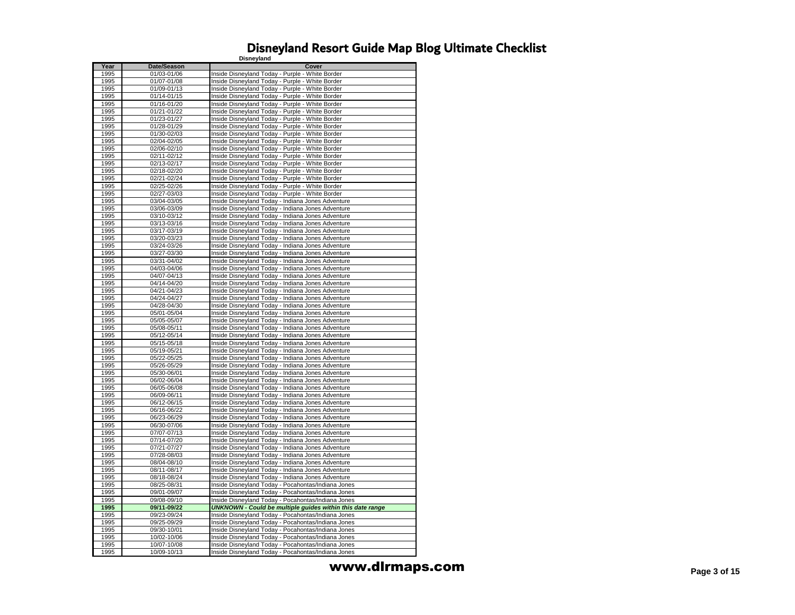|      |             | <b>שמ</b> צוע                                                    |
|------|-------------|------------------------------------------------------------------|
| Year | Date/Season | Cover                                                            |
| 1995 | 01/03-01/06 | Inside Disneyland Today - Purple - White Border                  |
| 1995 | 01/07-01/08 | Inside Disneyland Today - Purple - White Border                  |
| 1995 | 01/09-01/13 | Inside Disneyland Today - Purple - White Border                  |
| 1995 | 01/14-01/15 | Inside Disneyland Today - Purple - White Border                  |
| 1995 | 01/16-01/20 | Inside Disneyland Today - Purple - White Border                  |
| 1995 | 01/21-01/22 | Inside Disneyland Today - Purple - White Border                  |
| 1995 | 01/23-01/27 | Inside Disneyland Today - Purple - White Border                  |
| 1995 | 01/28-01/29 | Inside Disneyland Today - Purple - White Border                  |
| 1995 | 01/30-02/03 | Inside Disneyland Today - Purple - White Border                  |
| 1995 |             |                                                                  |
|      | 02/04-02/05 | Inside Disneyland Today - Purple - White Border                  |
| 1995 | 02/06-02/10 | Inside Disneyland Today - Purple - White Border                  |
| 1995 | 02/11-02/12 | Inside Disneyland Today - Purple - White Border                  |
| 1995 | 02/13-02/17 | Inside Disneyland Today - Purple - White Border                  |
| 1995 | 02/18-02/20 | Inside Disneyland Today - Purple - White Border                  |
| 1995 | 02/21-02/24 | Inside Disneyland Today - Purple - White Border                  |
| 1995 | 02/25-02/26 | Inside Disneyland Today - Purple - White Border                  |
| 1995 | 02/27-03/03 | Inside Disneyland Today - Purple - White Border                  |
| 1995 | 03/04-03/05 | Inside Disneyland Today - Indiana Jones Adventure                |
| 1995 | 03/06-03/09 | Inside Disneyland Today - Indiana Jones Adventure                |
| 1995 | 03/10-03/12 | Inside Disneyland Today - Indiana Jones Adventure                |
| 1995 | 03/13-03/16 | Inside Disneyland Today - Indiana Jones Adventure                |
| 1995 | 03/17-03/19 | Inside Disneyland Today - Indiana Jones Adventure                |
| 1995 | 03/20-03/23 | Inside Disneyland Today - Indiana Jones Adventure                |
| 1995 | 03/24-03/26 | Inside Disneyland Today - Indiana Jones Adventure                |
| 1995 | 03/27-03/30 | Inside Disneyland Today - Indiana Jones Adventure                |
| 1995 | 03/31-04/02 | Inside Disneyland Today - Indiana Jones Adventure                |
| 1995 | 04/03-04/06 | Inside Disneyland Today - Indiana Jones Adventure                |
| 1995 | 04/07-04/13 |                                                                  |
|      |             | Inside Disneyland Today - Indiana Jones Adventure                |
| 1995 | 04/14-04/20 | Inside Disneyland Today - Indiana Jones Adventure                |
| 1995 | 04/21-04/23 | Inside Disneyland Today - Indiana Jones Adventure                |
| 1995 | 04/24-04/27 | Inside Disneyland Today - Indiana Jones Adventure                |
| 1995 | 04/28-04/30 | Inside Disneyland Today - Indiana Jones Adventure                |
| 1995 | 05/01-05/04 | Inside Disneyland Today - Indiana Jones Adventure                |
| 1995 | 05/05-05/07 | Inside Disneyland Today - Indiana Jones Adventure                |
| 1995 | 05/08-05/11 | Inside Disneyland Today - Indiana Jones Adventure                |
| 1995 | 05/12-05/14 | Inside Disneyland Today - Indiana Jones Adventure                |
| 1995 | 05/15-05/18 | Inside Disneyland Today - Indiana Jones Adventure                |
| 1995 | 05/19-05/21 | Inside Disneyland Today - Indiana Jones Adventure                |
| 1995 | 05/22-05/25 | Inside Disneyland Today - Indiana Jones Adventure                |
| 1995 | 05/26-05/29 | Inside Disneyland Today - Indiana Jones Adventure                |
| 1995 | 05/30-06/01 | Inside Disneyland Today - Indiana Jones Adventure                |
| 1995 | 06/02-06/04 | Inside Disneyland Today - Indiana Jones Adventure                |
| 1995 | 06/05-06/08 | Inside Disneyland Today - Indiana Jones Adventure                |
| 1995 | 06/09-06/11 | Inside Disneyland Today - Indiana Jones Adventure                |
| 1995 | 06/12-06/15 | Inside Disneyland Today - Indiana Jones Adventure                |
| 1995 | 06/16-06/22 | Inside Disneyland Today - Indiana Jones Adventure                |
| 1995 | 06/23-06/29 | Inside Disneyland Today - Indiana Jones Adventure                |
| 1995 | 06/30-07/06 | Inside Disneyland Today - Indiana Jones Adventure                |
| 1995 | 07/07-07/13 | Inside Disneyland Today - Indiana Jones Adventure                |
|      |             |                                                                  |
| 1995 | 07/14-07/20 | Inside Disneyland Today - Indiana Jones Adventure                |
| 1995 | 07/21-07/27 | Inside Disneyland Today - Indiana Jones Adventure                |
| 1995 | 07/28-08/03 | Inside Disneyland Today - Indiana Jones Adventure                |
| 1995 | 08/04-08/10 | Inside Disneyland Today - Indiana Jones Adventure                |
| 1995 | 08/11-08/17 | Inside Disneyland Today - Indiana Jones Adventure                |
| 1995 | 08/18-08/24 | Inside Disneyland Today - Indiana Jones Adventure                |
| 1995 | 08/25-08/31 | Inside Disneyland Today - Pocahontas/Indiana Jones               |
| 1995 | 09/01-09/07 | Inside Disneyland Today - Pocahontas/Indiana Jones               |
| 1995 | 09/08-09/10 | Inside Disneyland Today - Pocahontas/Indiana Jones               |
| 1995 | 09/11-09/22 | <b>UNKNOWN - Could be multiple guides within this date range</b> |
| 1995 | 09/23-09/24 | Inside Disneyland Today - Pocahontas/Indiana Jones               |
| 1995 | 09/25-09/29 | Inside Disneyland Today - Pocahontas/Indiana Jones               |
| 1995 | 09/30-10/01 | Inside Disneyland Today - Pocahontas/Indiana Jones               |
| 1995 | 10/02-10/06 | Inside Disneyland Today - Pocahontas/Indiana Jones               |
| 1995 | 10/07-10/08 | Inside Disneyland Today - Pocahontas/Indiana Jones               |
| 1995 | 10/09-10/13 | Inside Disneyland Today - Pocahontas/Indiana Jones               |
|      |             |                                                                  |

**www.dlrmaps.com** Page 3 of 15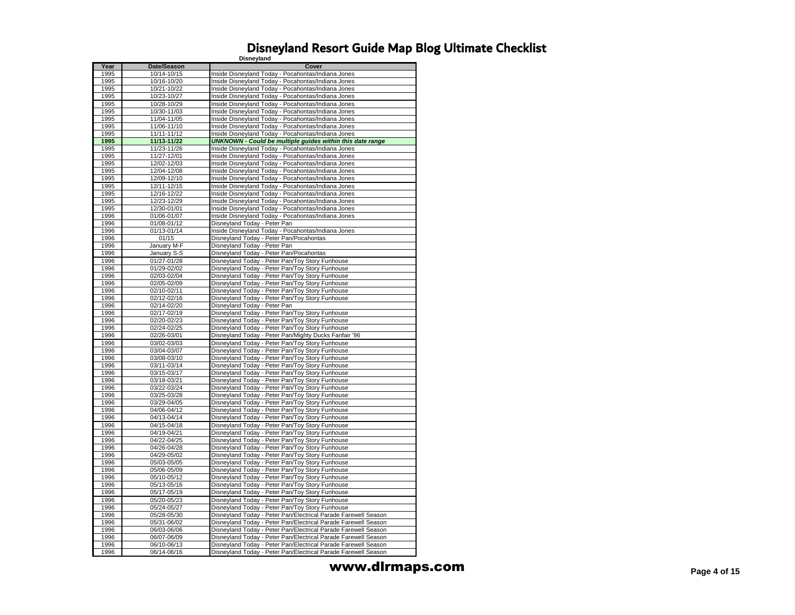| Year | Date/Season | Disneyland<br>Cover                                              |
|------|-------------|------------------------------------------------------------------|
| 1995 | 10/14-10/15 | Inside Disneyland Today - Pocahontas/Indiana Jones               |
| 1995 | 10/16-10/20 | Inside Disneyland Today - Pocahontas/Indiana Jones               |
| 1995 | 10/21-10/22 | Inside Disneyland Today - Pocahontas/Indiana Jones               |
| 1995 | 10/23-10/27 | Inside Disneyland Today - Pocahontas/Indiana Jones               |
| 1995 | 10/28-10/29 | Inside Disneyland Today - Pocahontas/Indiana Jones               |
| 1995 | 10/30-11/03 | Inside Disneyland Today - Pocahontas/Indiana Jones               |
| 1995 | 11/04-11/05 | Inside Disneyland Today - Pocahontas/Indiana Jones               |
| 1995 | 11/06-11/10 | Inside Disneyland Today - Pocahontas/Indiana Jones               |
| 1995 | 11/11-11/12 | Inside Disneyland Today - Pocahontas/Indiana Jones               |
| 1995 | 11/13-11/22 | <b>UNKNOWN - Could be multiple guides within this date range</b> |
| 1995 | 11/23-11/26 | Inside Disneyland Today - Pocahontas/Indiana Jones               |
| 1995 | 11/27-12/01 | Inside Disneyland Today - Pocahontas/Indiana Jones               |
| 1995 | 12/02-12/03 | Inside Disneyland Today - Pocahontas/Indiana Jones               |
| 1995 | 12/04-12/08 | Inside Disneyland Today - Pocahontas/Indiana Jones               |
| 1995 | 12/09-12/10 | Inside Disneyland Today - Pocahontas/Indiana Jones               |
| 1995 | 12/11-12/15 | Inside Disneyland Today - Pocahontas/Indiana Jones               |
| 1995 | 12/16-12/22 |                                                                  |
|      |             | Inside Disneyland Today - Pocahontas/Indiana Jones               |
| 1995 | 12/23-12/29 | Inside Disneyland Today - Pocahontas/Indiana Jones               |
| 1995 | 12/30-01/01 | Inside Disneyland Today - Pocahontas/Indiana Jones               |
| 1996 | 01/06-01/07 | Inside Disneyland Today - Pocahontas/Indiana Jones               |
| 1996 | 01/08-01/12 | Disneyland Today - Peter Pan                                     |
| 1996 | 01/13-01/14 | Inside Disneyland Today - Pocahontas/Indiana Jones               |
| 1996 | 01/15       | Disneyland Today - Peter Pan/Pocahontas                          |
| 1996 | January M-F | Disneyland Today - Peter Pan                                     |
| 1996 | January S-S | Disneyland Today - Peter Pan/Pocahontas                          |
| 1996 | 01/27-01/28 | Disneyland Today - Peter Pan/Toy Story Funhouse                  |
| 1996 | 01/29-02/02 | Disneyland Today - Peter Pan/Toy Story Funhouse                  |
| 1996 | 02/03-02/04 | Disneyland Today - Peter Pan/Toy Story Funhouse                  |
| 1996 | 02/05-02/09 | Disneyland Today - Peter Pan/Toy Story Funhouse                  |
| 1996 | 02/10-02/11 | Disneyland Today - Peter Pan/Toy Story Funhouse                  |
| 1996 | 02/12-02/16 | Disneyland Today - Peter Pan/Toy Story Funhouse                  |
| 1996 | 02/14-02/20 | Disneyland Today - Peter Pan                                     |
| 1996 | 02/17-02/19 | Disneyland Today - Peter Pan/Toy Story Funhouse                  |
| 1996 | 02/20-02/23 | Disneyland Today - Peter Pan/Toy Story Funhouse                  |
| 1996 | 02/24-02/25 | Disneyland Today - Peter Pan/Toy Story Funhouse                  |
| 1996 | 02/26-03/01 | Disneyland Today - Peter Pan/Mighty Ducks Fanfair '96            |
| 1996 | 03/02-03/03 | Disneyland Today - Peter Pan/Toy Story Funhouse                  |
| 1996 | 03/04-03/07 | Disneyland Today - Peter Pan/Toy Story Funhouse                  |
| 1996 | 03/08-03/10 | Disneyland Today - Peter Pan/Toy Story Funhouse                  |
| 1996 | 03/11-03/14 | Disneyland Today - Peter Pan/Toy Story Funhouse                  |
| 1996 | 03/15-03/17 | Disneyland Today - Peter Pan/Toy Story Funhouse                  |
| 1996 | 03/18-03/21 | Disneyland Today - Peter Pan/Toy Story Funhouse                  |
| 1996 | 03/22-03/24 | Disneyland Today - Peter Pan/Toy Story Funhouse                  |
| 1996 | 03/25-03/28 | Disneyland Today - Peter Pan/Toy Story Funhouse                  |
| 1996 | 03/29-04/05 | Disneyland Today - Peter Pan/Toy Story Funhouse                  |
| 1996 | 04/06-04/12 | Disneyland Today - Peter Pan/Toy Story Funhouse                  |
| 1996 | 04/13-04/14 | Disneyland Today - Peter Pan/Toy Story Funhouse                  |
| 1996 | 04/15-04/18 | Disneyland Today - Peter Pan/Toy Story Funhouse                  |
| 1996 | 04/19-04/21 | Disneyland Today - Peter Pan/Toy Story Funhouse                  |
| 1996 | 04/22-04/25 | Disneyland Today - Peter Pan/Toy Story Funhouse                  |
| 1996 | 04/26-04/28 | Disneyland Today - Peter Pan/Toy Story Funhouse                  |
| 1996 | 04/29-05/02 | Disneyland Today - Peter Pan/Toy Story Funhouse                  |
| 1996 | 05/03-05/05 | Disneyland Today - Peter Pan/Toy Story Funhouse                  |
| 1996 | 05/06-05/09 | Disneyland Today - Peter Pan/Toy Story Funhouse                  |
| 1996 | 05/10-05/12 | Disneyland Today - Peter Pan/Toy Story Funhouse                  |
| 1996 | 05/13-05/16 | Disneyland Today - Peter Pan/Toy Story Funhouse                  |
| 1996 | 05/17-05/19 | Disneyland Today - Peter Pan/Toy Story Funhouse                  |
| 1996 | 05/20-05/23 | Disneyland Today - Peter Pan/Toy Story Funhouse                  |
| 1996 | 05/24-05/27 | Disneyland Today - Peter Pan/Toy Story Funhouse                  |
| 1996 | 05/28-05/30 | Disneyland Today - Peter Pan/Electrical Parade Farewell Season   |
| 1996 | 05/31-06/02 | Disneyland Today - Peter Pan/Electrical Parade Farewell Season   |
| 1996 | 06/03-06/06 | Disneyland Today - Peter Pan/Electrical Parade Farewell Season   |
| 1996 | 06/07-06/09 | Disneyland Today - Peter Pan/Electrical Parade Farewell Season   |
| 1996 | 06/10-06/13 | Disneyland Today - Peter Pan/Electrical Parade Farewell Season   |
| 1996 | 06/14-06/16 | Disneyland Today - Peter Pan/Electrical Parade Farewell Season   |
|      |             |                                                                  |

**www.dlrmaps.com** Page 4 of 15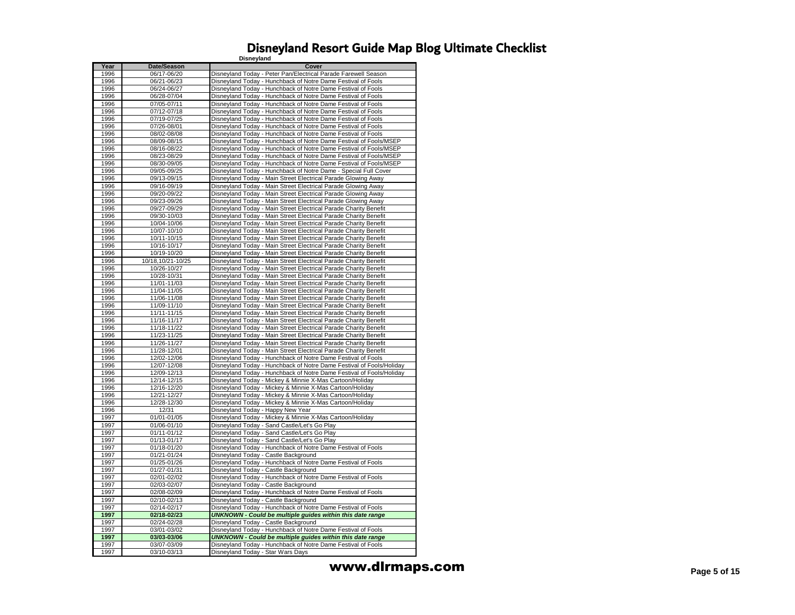| Year | Date/Season       | Disneyianu<br>Cover                                                  |
|------|-------------------|----------------------------------------------------------------------|
|      |                   |                                                                      |
| 1996 | 06/17-06/20       | Disneyland Today - Peter Pan/Electrical Parade Farewell Season       |
| 1996 | 06/21-06/23       | Disneyland Today - Hunchback of Notre Dame Festival of Fools         |
| 1996 | 06/24-06/27       | Disneyland Today - Hunchback of Notre Dame Festival of Fools         |
| 1996 | 06/28-07/04       | Disneyland Today - Hunchback of Notre Dame Festival of Fools         |
| 1996 | 07/05-07/11       | Disneyland Today - Hunchback of Notre Dame Festival of Fools         |
| 1996 | 07/12-07/18       | Disneyland Today - Hunchback of Notre Dame Festival of Fools         |
| 1996 | 07/19-07/25       | Disneyland Today - Hunchback of Notre Dame Festival of Fools         |
|      |                   |                                                                      |
| 1996 | 07/26-08/01       | Disneyland Today - Hunchback of Notre Dame Festival of Fools         |
| 1996 | 08/02-08/08       | Disneyland Today - Hunchback of Notre Dame Festival of Fools         |
| 1996 | 08/09-08/15       | Disneyland Today - Hunchback of Notre Dame Festival of Fools/MSEP    |
| 1996 | 08/16-08/22       | Disneyland Today - Hunchback of Notre Dame Festival of Fools/MSEP    |
| 1996 | 08/23-08/29       | Disneyland Today - Hunchback of Notre Dame Festival of Fools/MSEP    |
| 1996 | 08/30-09/05       | Disneyland Today - Hunchback of Notre Dame Festival of Fools/MSEP    |
| 1996 | 09/05-09/25       | Disneyland Today - Hunchback of Notre Dame - Special Full Cover      |
| 1996 | 09/13-09/15       | Disneyland Today - Main Street Electrical Parade Glowing Away        |
|      |                   |                                                                      |
| 1996 | 09/16-09/19       | Disneyland Today - Main Street Electrical Parade Glowing Away        |
| 1996 | 09/20-09/22       | Disneyland Today - Main Street Electrical Parade Glowing Away        |
| 1996 | 09/23-09/26       | Disneyland Today - Main Street Electrical Parade Glowing Away        |
| 1996 | 09/27-09/29       | Disneyland Today - Main Street Electrical Parade Charity Benefit     |
| 1996 | 09/30-10/03       | Disneyland Today - Main Street Electrical Parade Charity Benefit     |
| 1996 | 10/04-10/06       | Disneyland Today - Main Street Electrical Parade Charity Benefit     |
| 1996 | 10/07-10/10       | Disneyland Today - Main Street Electrical Parade Charity Benefit     |
| 1996 | 10/11-10/15       | Disneyland Today - Main Street Electrical Parade Charity Benefit     |
| 1996 | 10/16-10/17       |                                                                      |
|      |                   | Disneyland Today - Main Street Electrical Parade Charity Benefit     |
| 1996 | 10/19-10/20       | Disneyland Today - Main Street Electrical Parade Charity Benefit     |
| 1996 | 10/18,10/21-10/25 | Disneyland Today - Main Street Electrical Parade Charity Benefit     |
| 1996 | 10/26-10/27       | Disneyland Today - Main Street Electrical Parade Charity Benefit     |
| 1996 | 10/28-10/31       | Disneyland Today - Main Street Electrical Parade Charity Benefit     |
| 1996 | 11/01-11/03       | Disneyland Today - Main Street Electrical Parade Charity Benefit     |
| 1996 | 11/04-11/05       | Disneyland Today - Main Street Electrical Parade Charity Benefit     |
| 1996 | 11/06-11/08       | Disneyland Today - Main Street Electrical Parade Charity Benefit     |
| 1996 | 11/09-11/10       | Disneyland Today - Main Street Electrical Parade Charity Benefit     |
| 1996 | 11/11-11/15       | Disneyland Today - Main Street Electrical Parade Charity Benefit     |
|      |                   |                                                                      |
| 1996 | 11/16-11/17       | Disneyland Today - Main Street Electrical Parade Charity Benefit     |
| 1996 | 11/18-11/22       | Disneyland Today - Main Street Electrical Parade Charity Benefit     |
| 1996 | 11/23-11/25       | Disneyland Today - Main Street Electrical Parade Charity Benefit     |
| 1996 | 11/26-11/27       | Disneyland Today - Main Street Electrical Parade Charity Benefit     |
| 1996 | 11/28-12/01       | Disneyland Today - Main Street Electrical Parade Charity Benefit     |
| 1996 | 12/02-12/06       | Disneyland Today - Hunchback of Notre Dame Festival of Fools         |
| 1996 | 12/07-12/08       | Disneyland Today - Hunchback of Notre Dame Festival of Fools/Holiday |
| 1996 | 12/09-12/13       | Disneyland Today - Hunchback of Notre Dame Festival of Fools/Holiday |
| 1996 | 12/14-12/15       |                                                                      |
|      |                   | Disneyland Today - Mickey & Minnie X-Mas Cartoon/Holiday             |
| 1996 | 12/16-12/20       | Disneyland Today - Mickey & Minnie X-Mas Cartoon/Holiday             |
| 1996 | 12/21-12/27       | Disneyland Today - Mickey & Minnie X-Mas Cartoon/Holiday             |
| 1996 | 12/28-12/30       | Disneyland Today - Mickey & Minnie X-Mas Cartoon/Holiday             |
| 1996 | 12/31             | Disneyland Today - Happy New Year                                    |
| 1997 | 01/01-01/05       | Disneyland Today - Mickey & Minnie X-Mas Cartoon/Holiday             |
| 1997 | 01/06-01/10       | Disneyland Today - Sand Castle/Let's Go Play                         |
| 1997 | 01/11-01/12       | Disneyland Today - Sand Castle/Let's Go Play                         |
| 1997 | $01/13 - 01/17$   | Disneyland Today - Sand Castle/Let's Go Play                         |
| 1997 | 01/18-01/20       | Disneyland Today - Hunchback of Notre Dame Festival of Fools         |
| 1997 | 01/21-01/24       | Disneyland Today - Castle Background                                 |
| 1997 |                   |                                                                      |
|      | 01/25-01/26       | Disneyland Today - Hunchback of Notre Dame Festival of Fools         |
| 1997 | 01/27-01/31       | Disneyland Today - Castle Background                                 |
| 1997 | 02/01-02/02       | Disneyland Today - Hunchback of Notre Dame Festival of Fools         |
| 1997 | 02/03-02/07       | Disneyland Today - Castle Background                                 |
| 1997 | 02/08-02/09       | Disneyland Today - Hunchback of Notre Dame Festival of Fools         |
| 1997 | 02/10-02/13       | Disneyland Today - Castle Background                                 |
| 1997 | 02/14-02/17       | Disneyland Today - Hunchback of Notre Dame Festival of Fools         |
| 1997 | 02/18-02/23       | <b>UNKNOWN - Could be multiple guides within this date range</b>     |
| 1997 | 02/24-02/28       | Disneyland Today - Castle Background                                 |
| 1997 | 03/01-03/02       | Disneyland Today - Hunchback of Notre Dame Festival of Fools         |
|      |                   |                                                                      |
| 1997 | 03/03-03/06       | <b>UNKNOWN - Could be multiple guides within this date range</b>     |
| 1997 | 03/07-03/09       | Disneyland Today - Hunchback of Notre Dame Festival of Fools         |
| 1997 | 03/10-03/13       | Disneyland Today - Star Wars Days                                    |

**www.dlrmaps.com** Page 5 of 15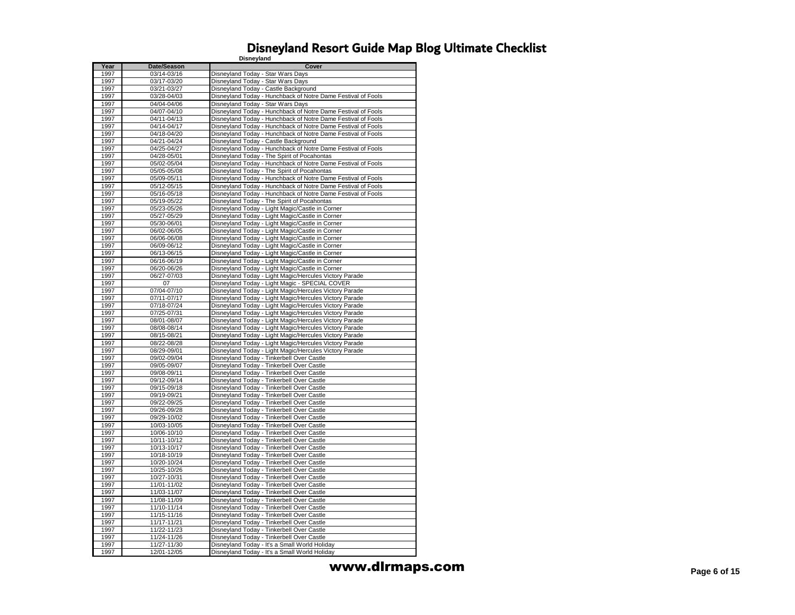|              |                            | Disneyland<br>Cover                                                                                              |
|--------------|----------------------------|------------------------------------------------------------------------------------------------------------------|
| Year<br>1997 | Date/Season<br>03/14-03/16 | Disneyland Today - Star Wars Days                                                                                |
| 1997         | 03/17-03/20                | Disneyland Today - Star Wars Days                                                                                |
| 1997         | 03/21-03/27                | Disneyland Today - Castle Background                                                                             |
| 1997         | 03/28-04/03                | Disneyland Today - Hunchback of Notre Dame Festival of Fools                                                     |
| 1997         | 04/04-04/06                | Disneyland Today - Star Wars Days                                                                                |
| 1997         | 04/07-04/10                | Disneyland Today - Hunchback of Notre Dame Festival of Fools                                                     |
| 1997         | 04/11-04/13                | Disneyland Today - Hunchback of Notre Dame Festival of Fools                                                     |
| 1997         | 04/14-04/17                | Disneyland Today - Hunchback of Notre Dame Festival of Fools                                                     |
| 1997         | 04/18-04/20                | Disneyland Today - Hunchback of Notre Dame Festival of Fools                                                     |
| 1997         | 04/21-04/24                | Disneyland Today - Castle Background                                                                             |
| 1997         | 04/25-04/27                | Disneyland Today - Hunchback of Notre Dame Festival of Fools                                                     |
| 1997         | 04/28-05/01                | Disneyland Today - The Spirit of Pocahontas                                                                      |
| 1997         | 05/02-05/04                | Disneyland Today - Hunchback of Notre Dame Festival of Fools                                                     |
| 1997         | 05/05-05/08                | Disneyland Today - The Spirit of Pocahontas                                                                      |
| 1997         | 05/09-05/11                | Disneyland Today - Hunchback of Notre Dame Festival of Fools                                                     |
| 1997         | 05/12-05/15                | Disneyland Today - Hunchback of Notre Dame Festival of Fools                                                     |
| 1997         | 05/16-05/18                | Disneyland Today - Hunchback of Notre Dame Festival of Fools                                                     |
| 1997         | 05/19-05/22                | Disneyland Today - The Spirit of Pocahontas                                                                      |
| 1997         | 05/23-05/26                | Disneyland Today - Light Magic/Castle in Corner                                                                  |
| 1997         | 05/27-05/29                | Disneyland Today - Light Magic/Castle in Corner                                                                  |
| 1997         | 05/30-06/01                | Disneyland Today - Light Magic/Castle in Corner                                                                  |
| 1997         | 06/02-06/05                | Disneyland Today - Light Magic/Castle in Corner                                                                  |
| 1997         | 06/06-06/08                | Disneyland Today - Light Magic/Castle in Corner                                                                  |
| 1997         | 06/09-06/12                | Disneyland Today - Light Magic/Castle in Corner                                                                  |
| 1997         | 06/13-06/15                | Disneyland Today - Light Magic/Castle in Corner                                                                  |
| 1997         | 06/16-06/19                | Disneyland Today - Light Magic/Castle in Corner                                                                  |
| 1997         | 06/20-06/26                | Disneyland Today - Light Magic/Castle in Corner                                                                  |
| 1997         | 06/27-07/03                | Disneyland Today - Light Magic/Hercules Victory Parade                                                           |
| 1997         | 07                         | Disneyland Today - Light Magic - SPECIAL COVER                                                                   |
| 1997         | 07/04-07/10                | Disneyland Today - Light Magic/Hercules Victory Parade                                                           |
| 1997         | 07/11-07/17                | Disneyland Today - Light Magic/Hercules Victory Parade                                                           |
| 1997         | 07/18-07/24                | Disneyland Today - Light Magic/Hercules Victory Parade                                                           |
| 1997<br>1997 | 07/25-07/31<br>08/01-08/07 | Disneyland Today - Light Magic/Hercules Victory Parade<br>Disneyland Today - Light Magic/Hercules Victory Parade |
| 1997         | 08/08-08/14                | Disneyland Today - Light Magic/Hercules Victory Parade                                                           |
| 1997         | 08/15-08/21                | Disneyland Today - Light Magic/Hercules Victory Parade                                                           |
| 1997         | 08/22-08/28                | Disneyland Today - Light Magic/Hercules Victory Parade                                                           |
| 1997         | 08/29-09/01                | Disneyland Today - Light Magic/Hercules Victory Parade                                                           |
| 1997         | 09/02-09/04                | Disneyland Today - Tinkerbell Over Castle                                                                        |
| 1997         | 09/05-09/07                | Disneyland Today - Tinkerbell Over Castle                                                                        |
| 1997         | 09/08-09/11                | Disneyland Today - Tinkerbell Over Castle                                                                        |
| 1997         | 09/12-09/14                | Disneyland Today - Tinkerbell Over Castle                                                                        |
| 1997         | 09/15-09/18                | Disneyland Today - Tinkerbell Over Castle                                                                        |
| 1997         | 09/19-09/21                | Disneyland Today - Tinkerbell Over Castle                                                                        |
| 1997         | 09/22-09/25                | Disneyland Today - Tinkerbell Over Castle                                                                        |
| 1997         | 09/26-09/28                | Disneyland Today - Tinkerbell Over Castle                                                                        |
| 1997         | 09/29-10/02                | Disneyland Today - Tinkerbell Over Castle                                                                        |
| 1997         | 10/03-10/05                | Disneyland Today - Tinkerbell Over Castle                                                                        |
| 1997         | 10/06-10/10                | Disneyland Today - Tinkerbell Over Castle                                                                        |
| 1997         | 10/11-10/12                | Disneyland Today - Tinkerbell Over Castle                                                                        |
| 1997         | 10/13-10/17                | Disneyland Today - Tinkerbell Over Castle                                                                        |
| 1997         | 10/18-10/19                | Disneyland Today - Tinkerbell Over Castle                                                                        |
| 1997         | 10/20-10/24                | Disneyland Today - Tinkerbell Over Castle                                                                        |
| 1997         | 10/25-10/26                | Disneyland Today - Tinkerbell Over Castle                                                                        |
| 1997         | 10/27-10/31                | Disneyland Today - Tinkerbell Over Castle                                                                        |
| 1997         | 11/01-11/02                | Disneyland Today - Tinkerbell Over Castle                                                                        |
| 1997<br>1997 | 11/03-11/07<br>11/08-11/09 | Disneyland Today - Tinkerbell Over Castle<br>Disneyland Today - Tinkerbell Over Castle                           |
| 1997         | 11/10-11/14                | Disneyland Today - Tinkerbell Over Castle                                                                        |
| 1997         | 11/15-11/16                | Disneyland Today - Tinkerbell Over Castle                                                                        |
| 1997         | 11/17-11/21                | Disneyland Today - Tinkerbell Over Castle                                                                        |
| 1997         | 11/22-11/23                | Disneyland Today - Tinkerbell Over Castle                                                                        |
| 1997         | 11/24-11/26                | Disneyland Today - Tinkerbell Over Castle                                                                        |
| 1997         | 11/27-11/30                | Disneyland Today - It's a Small World Holiday                                                                    |
| 1997         | 12/01-12/05                | Disneyland Today - It's a Small World Holiday                                                                    |

**www.dlrmaps.com** Page 6 of 15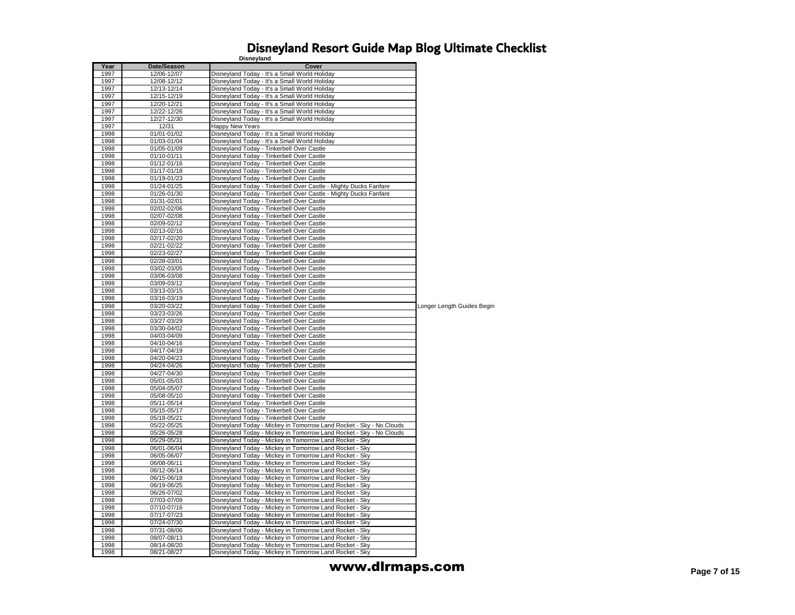|      |             | Disneyland                                                          |                            |
|------|-------------|---------------------------------------------------------------------|----------------------------|
| Year | Date/Season | Cover                                                               |                            |
| 1997 | 12/06-12/07 | Disneyland Today - It's a Small World Holiday                       |                            |
| 1997 | 12/08-12/12 | Disneyland Today - It's a Small World Holiday                       |                            |
| 1997 | 12/13-12/14 | Disneyland Today - It's a Small World Holiday                       |                            |
| 1997 | 12/15-12/19 | Disneyland Today - It's a Small World Holiday                       |                            |
| 1997 | 12/20-12/21 | Disneyland Today - It's a Small World Holiday                       |                            |
| 1997 | 12/22-12/26 | Disneyland Today - It's a Small World Holiday                       |                            |
| 1997 | 12/27-12/30 | Disneyland Today - It's a Small World Holiday                       |                            |
| 1997 | 12/31       | Happy New Years                                                     |                            |
| 1998 | 01/01-01/02 | Disneyland Today - It's a Small World Holiday                       |                            |
| 1998 |             | Disneyland Today - It's a Small World Holiday                       |                            |
|      | 01/03-01/04 |                                                                     |                            |
| 1998 | 01/05-01/09 | Disneyland Today - Tinkerbell Over Castle                           |                            |
| 1998 | 01/10-01/11 | Disneyland Today - Tinkerbell Over Castle                           |                            |
| 1998 | 01/12-01/16 | Disneyland Today - Tinkerbell Over Castle                           |                            |
| 1998 | 01/17-01/18 | Disneyland Today - Tinkerbell Over Castle                           |                            |
| 1998 | 01/19-01/23 | Disneyland Today - Tinkerbell Over Castle                           |                            |
| 1998 | 01/24-01/25 | Disneyland Today - Tinkerbell Over Castle - Mighty Ducks Fanfare    |                            |
| 1998 | 01/26-01/30 | Disneyland Today - Tinkerbell Over Castle - Mighty Ducks Fanfare    |                            |
| 1998 | 01/31-02/01 | Disneyland Today - Tinkerbell Over Castle                           |                            |
| 1998 | 02/02-02/06 | Disneyland Today - Tinkerbell Over Castle                           |                            |
| 1998 | 02/07-02/08 | Disneyland Today - Tinkerbell Over Castle                           |                            |
| 1998 | 02/09-02/12 | Disneyland Today - Tinkerbell Over Castle                           |                            |
| 1998 | 02/13-02/16 | Disneyland Today - Tinkerbell Over Castle                           |                            |
| 1998 | 02/17-02/20 | Disneyland Today - Tinkerbell Over Castle                           |                            |
| 1998 | 02/21-02/22 | Disneyland Today - Tinkerbell Over Castle                           |                            |
| 1998 | 02/23-02/27 | Disneyland Today - Tinkerbell Over Castle                           |                            |
| 1998 | 02/28-03/01 | Disneyland Today - Tinkerbell Over Castle                           |                            |
| 1998 | 03/02-03/05 | Disneyland Today - Tinkerbell Over Castle                           |                            |
| 1998 | 03/06-03/08 | Disneyland Today - Tinkerbell Over Castle                           |                            |
| 1998 | 03/09-03/12 | Disneyland Today - Tinkerbell Over Castle                           |                            |
| 1998 | 03/13-03/15 | Disneyland Today - Tinkerbell Over Castle                           |                            |
| 1998 | 03/16-03/19 | Disneyland Today - Tinkerbell Over Castle                           |                            |
| 1998 | 03/20-03/22 | Disneyland Today - Tinkerbell Over Castle                           | Longer Length Guides Begin |
| 1998 | 03/23-03/26 | Disneyland Today - Tinkerbell Over Castle                           |                            |
|      |             |                                                                     |                            |
| 1998 | 03/27-03/29 | Disneyland Today - Tinkerbell Over Castle                           |                            |
| 1998 | 03/30-04/02 | Disneyland Today - Tinkerbell Over Castle                           |                            |
| 1998 | 04/03-04/09 | Disneyland Today - Tinkerbell Over Castle                           |                            |
| 1998 | 04/10-04/16 | Disneyland Today - Tinkerbell Over Castle                           |                            |
| 1998 | 04/17-04/19 | Disneyland Today - Tinkerbell Over Castle                           |                            |
| 1998 | 04/20-04/23 | Disneyland Today - Tinkerbell Over Castle                           |                            |
| 1998 | 04/24-04/26 | Disneyland Today - Tinkerbell Over Castle                           |                            |
| 1998 | 04/27-04/30 | Disneyland Today - Tinkerbell Over Castle                           |                            |
| 1998 | 05/01-05/03 | Disneyland Today - Tinkerbell Over Castle                           |                            |
| 1998 | 05/04-05/07 | Disneyland Today - Tinkerbell Over Castle                           |                            |
| 1998 | 05/08-05/10 | Disneyland Today - Tinkerbell Over Castle                           |                            |
| 1998 | 05/11-05/14 | Disneyland Today - Tinkerbell Over Castle                           |                            |
| 1998 | 05/15-05/17 | Disneyland Today - Tinkerbell Over Castle                           |                            |
| 1998 | 05/18-05/21 | Disneyland Today - Tinkerbell Over Castle                           |                            |
| 1998 | 05/22-05/25 | Disneyland Today - Mickey in Tomorrow Land Rocket - Sky - No Clouds |                            |
| 1998 | 05/26-05/28 | Disneyland Today - Mickey in Tomorrow Land Rocket - Sky - No Clouds |                            |
| 1998 | 05/29-05/31 | Disneyland Today - Mickey in Tomorrow Land Rocket - Sky             |                            |
| 1998 | 06/01-06/04 | Disneyland Today - Mickey in Tomorrow Land Rocket - Sky             |                            |
| 1998 | 06/05-06/07 | Disneyland Today - Mickey in Tomorrow Land Rocket - Sky             |                            |
| 1998 | 06/08-06/11 | Disneyland Today - Mickey in Tomorrow Land Rocket - Sky             |                            |
| 1998 | 06/12-06/14 | Disneyland Today - Mickey in Tomorrow Land Rocket - Sky             |                            |
| 1998 | 06/15-06/18 | Disneyland Today - Mickey in Tomorrow Land Rocket - Sky             |                            |
| 1998 | 06/19-06/25 | Disneyland Today - Mickey in Tomorrow Land Rocket - Sky             |                            |
| 1998 | 06/26-07/02 | Disneyland Today - Mickey in Tomorrow Land Rocket - Sky             |                            |
| 1998 | 07/03-07/09 | Disneyland Today - Mickey in Tomorrow Land Rocket - Sky             |                            |
| 1998 | 07/10-07/16 | Disneyland Today - Mickey in Tomorrow Land Rocket - Sky             |                            |
| 1998 | 07/17-07/23 | Disneyland Today - Mickey in Tomorrow Land Rocket - Sky             |                            |
| 1998 | 07/24-07/30 | Disneyland Today - Mickey in Tomorrow Land Rocket - Sky             |                            |
| 1998 | 07/31-08/06 | Disneyland Today - Mickey in Tomorrow Land Rocket - Sky             |                            |
| 1998 | 08/07-08/13 | Disneyland Today - Mickey in Tomorrow Land Rocket - Sky             |                            |
| 1998 | 08/14-08/20 | Disneyland Today - Mickey in Tomorrow Land Rocket - Sky             |                            |
| 1998 | 08/21-08/27 | Disneyland Today - Mickey in Tomorrow Land Rocket - Sky             |                            |
|      |             |                                                                     |                            |

**www.dlrmaps.com** Page 7 of 15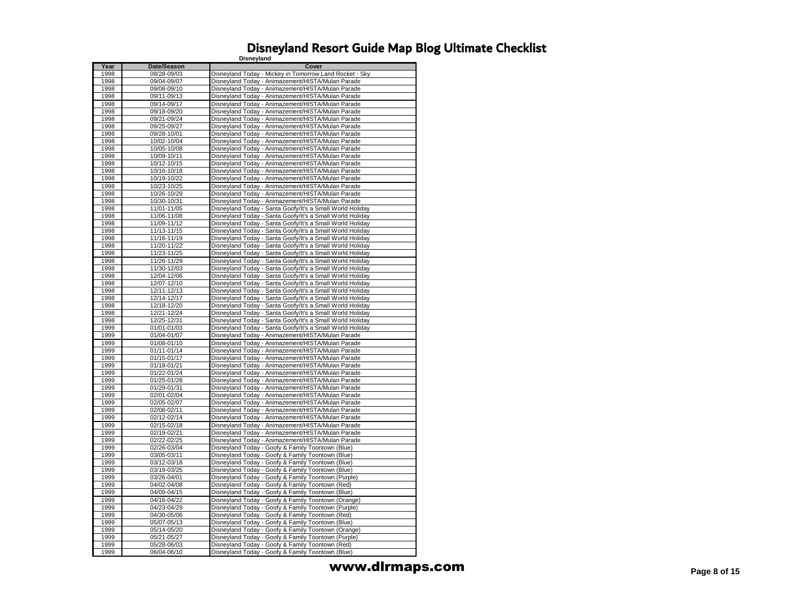| Year         | Date/Season                | <b>שמ</b> צוע<br>Cover                                                                                                 |
|--------------|----------------------------|------------------------------------------------------------------------------------------------------------------------|
| 1998         | 08/28-09/03                | Disneyland Today - Mickey in Tomorrow Land Rocket - Sky                                                                |
| 1998         | 09/04-09/07                | Disneyland Today - Animazement/HISTA/Mulan Parade                                                                      |
| 1998         | 09/08-09/10                | Disneyland Today - Animazement/HISTA/Mulan Parade                                                                      |
| 1998         | 09/11-09/13                | Disneyland Today - Animazement/HISTA/Mulan Parade                                                                      |
| 1998         | 09/14-09/17                | Disneyland Today - Animazement/HISTA/Mulan Parade                                                                      |
| 1998         | 09/18-09/20                | Disneyland Today - Animazement/HISTA/Mulan Parade                                                                      |
| 1998         | 09/21-09/24                | Disneyland Today - Animazement/HISTA/Mulan Parade                                                                      |
| 1998         | 09/25-09/27                | Disneyland Today - Animazement/HISTA/Mulan Parade                                                                      |
| 1998         | 09/28-10/01                | Disneyland Today - Animazement/HISTA/Mulan Parade                                                                      |
| 1998         | 10/02-10/04                | Disneyland Today - Animazement/HISTA/Mulan Parade                                                                      |
| 1998         | 10/05-10/08                | Disneyland Today - Animazement/HISTA/Mulan Parade                                                                      |
| 1998         | 10/09-10/11                | Disneyland Today - Animazement/HISTA/Mulan Parade                                                                      |
| 1998         | 10/12-10/15                | Disneyland Today - Animazement/HISTA/Mulan Parade                                                                      |
| 1998         | 10/16-10/18                | Disneyland Today - Animazement/HISTA/Mulan Parade                                                                      |
| 1998         | 10/19-10/22                | Disneyland Today - Animazement/HISTA/Mulan Parade                                                                      |
| 1998         | 10/23-10/25                | Disneyland Today - Animazement/HISTA/Mulan Parade                                                                      |
| 1998         | 10/26-10/29                | Disneyland Today - Animazement/HISTA/Mulan Parade                                                                      |
| 1998         | 10/30-10/31                | Disneyland Today - Animazement/HISTA/Mulan Parade                                                                      |
| 1998         | 11/01-11/05                | Disneyland Today - Santa Goofy/It's a Small World Holiday                                                              |
| 1998         | 11/06-11/08                | Disneyland Today - Santa Goofy/It's a Small World Holiday                                                              |
| 1998         | 11/09-11/12                | Disneyland Today - Santa Goofy/It's a Small World Holiday                                                              |
| 1998         | 11/13-11/15                | Disneyland Today - Santa Goofy/It's a Small World Holiday                                                              |
| 1998         | 11/16-11/19                | Disneyland Today - Santa Goofy/It's a Small World Holiday                                                              |
| 1998         | 11/20-11/22                | Disneyland Today - Santa Goofy/It's a Small World Holiday                                                              |
| 1998         | 11/23-11/25                | Disneyland Today - Santa Goofy/It's a Small World Holiday                                                              |
| 1998         | 11/26-11/29                | Disneyland Today - Santa Goofy/It's a Small World Holiday                                                              |
| 1998<br>1998 | 11/30-12/03                | Disneyland Today - Santa Goofy/It's a Small World Holiday                                                              |
| 1998         | 12/04-12/06<br>12/07-12/10 | Disneyland Today - Santa Goofy/It's a Small World Holiday<br>Disneyland Today - Santa Goofy/It's a Small World Holiday |
| 1998         | 12/11-12/13                | Disneyland Today - Santa Goofy/It's a Small World Holiday                                                              |
| 1998         | 12/14-12/17                | Disneyland Today - Santa Goofy/It's a Small World Holiday                                                              |
| 1998         | 12/18-12/20                | Disneyland Today - Santa Goofy/It's a Small World Holiday                                                              |
| 1998         | 12/21-12/24                | Disneyland Today - Santa Goofy/It's a Small World Holiday                                                              |
| 1998         | 12/25-12/31                | Disneyland Today - Santa Goofy/It's a Small World Holiday                                                              |
| 1999         | 01/01-01/03                | Disneyland Today - Santa Goofy/It's a Small World Holiday                                                              |
| 1999         | 01/04-01/07                | Disneyland Today - Animazement/HISTA/Mulan Parade                                                                      |
| 1999         | 01/08-01/10                | Disneyland Today - Animazement/HISTA/Mulan Parade                                                                      |
| 1999         | 01/11-01/14                | Disneyland Today - Animazement/HISTA/Mulan Parade                                                                      |
| 1999         | 01/15-01/17                | Disneyland Today - Animazement/HISTA/Mulan Parade                                                                      |
| 1999         | 01/18-01/21                | Disneyland Today - Animazement/HISTA/Mulan Parade                                                                      |
| 1999         | 01/22-01/24                | Disneyland Today - Animazement/HISTA/Mulan Parade                                                                      |
| 1999         | $01/25 - 01/28$            | Disneyland Today - Animazement/HISTA/Mulan Parade                                                                      |
| 1999         | 01/29-01/31                | Disneyland Today - Animazement/HISTA/Mulan Parade                                                                      |
| 1999         | 02/01-02/04                | Disneyland Today - Animazement/HISTA/Mulan Parade                                                                      |
| 1999         | 02/05-02/07                | Disneyland Today - Animazement/HISTA/Mulan Parade                                                                      |
| 1999         | 02/08-02/11                | Disneyland Today - Animazement/HISTA/Mulan Parade                                                                      |
| 1999         | 02/12-02/14                | Disneyland Today - Animazement/HISTA/Mulan Parade                                                                      |
| 1999         | 02/15-02/18                | Disneyland Today - Animazement/HISTA/Mulan Parade                                                                      |
| 1999         | 02/19-02/21                | Disneyland Today - Animazement/HISTA/Mulan Parade                                                                      |
| 1999         | 02/22-02/25                | Disneyland Today - Animazement/HISTA/Mulan Parade                                                                      |
| 1999<br>1999 | 02/26-03/04<br>03/05-03/11 | Disneyland Today - Goofy & Family Toontown (Blue)                                                                      |
| 1999         | 03/12-03/18                | Disneyland Today - Goofy & Family Toontown (Blue)                                                                      |
| 1999         | 03/19-03/25                | Disneyland Today - Goofy & Family Toontown (Blue)<br>Disneyland Today - Goofy & Family Toontown (Blue)                 |
| 1999         | 03/26-04/01                | Disneyland Today - Goofy & Family Toontown (Purple)                                                                    |
| 1999         | 04/02-04/08                | Disneyland Today - Goofy & Family Toontown (Red)                                                                       |
| 1999         | 04/09-04/15                | Disneyland Today - Goofy & Family Toontown (Blue)                                                                      |
| 1999         | 04/16-04/22                | Disneyland Today - Goofy & Family Toontown (Orange)                                                                    |
| 1999         | 04/23-04/29                | Disneyland Today - Goofy & Family Toontown (Purple)                                                                    |
| 1999         | 04/30-05/06                | Disneyland Today - Goofy & Family Toontown (Red)                                                                       |
| 1999         | 05/07-05/13                | Disneyland Today - Goofy & Family Toontown (Blue)                                                                      |
| 1999         | 05/14-05/20                | Disneyland Today - Goofy & Family Toontown (Orange)                                                                    |
| 1999         | 05/21-05/27                | Disneyland Today - Goofy & Family Toontown (Purple)                                                                    |
| 1999         | 05/28-06/03                | Disneyland Today - Goofy & Family Toontown (Red)                                                                       |
| 1999         | 06/04-06/10                | Disneyland Today - Goofy & Family Toontown (Blue)                                                                      |

**www.dlrmaps.com** Page 8 of 15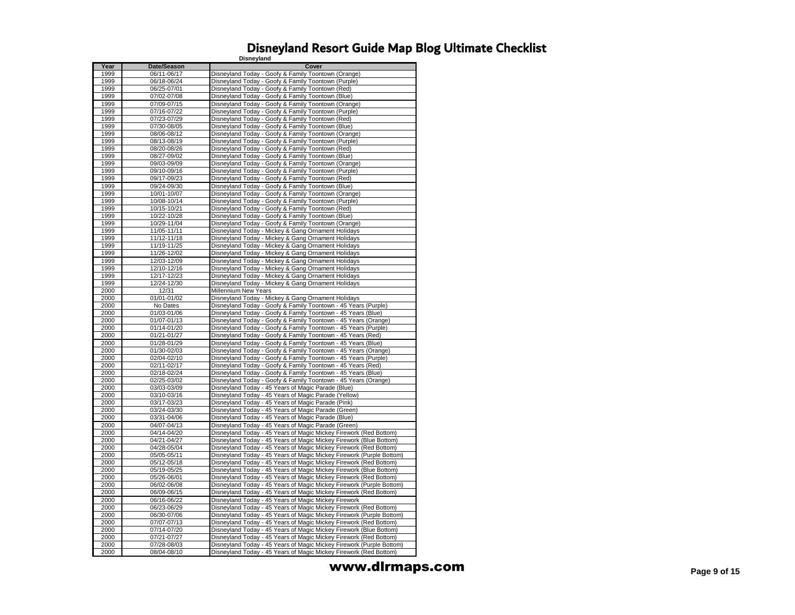|      |             | Disneyland                                                           |
|------|-------------|----------------------------------------------------------------------|
| Year | Date/Season | Cover                                                                |
| 1999 | 06/11-06/17 | Disneyland Today - Goofy & Family Toontown (Orange)                  |
| 1999 | 06/18-06/24 | Disneyland Today - Goofy & Family Toontown (Purple)                  |
| 1999 | 06/25-07/01 | Disneyland Today - Goofy & Family Toontown (Red)                     |
| 1999 | 07/02-07/08 | Disneyland Today - Goofy & Family Toontown (Blue)                    |
| 1999 | 07/09-07/15 | Disneyland Today - Goofy & Family Toontown (Orange)                  |
| 1999 | 07/16-07/22 | Disneyland Today - Goofy & Family Toontown (Purple)                  |
| 1999 | 07/23-07/29 | Disneyland Today - Goofy & Family Toontown (Red)                     |
| 1999 | 07/30-08/05 | Disneyland Today - Goofy & Family Toontown (Blue)                    |
| 1999 | 08/06-08/12 | Disneyland Today - Goofy & Family Toontown (Orange)                  |
| 1999 | 08/13-08/19 | Disneyland Today - Goofy & Family Toontown (Purple)                  |
| 1999 | 08/20-08/26 | Disneyland Today - Goofy & Family Toontown (Red)                     |
| 1999 | 08/27-09/02 | Disneyland Today - Goofy & Family Toontown (Blue)                    |
| 1999 | 09/03-09/09 | Disneyland Today - Goofy & Family Toontown (Orange)                  |
| 1999 | 09/10-09/16 | Disneyland Today - Goofy & Family Toontown (Purple)                  |
| 1999 | 09/17-09/23 | Disneyland Today - Goofy & Family Toontown (Red)                     |
|      |             |                                                                      |
| 1999 | 09/24-09/30 | Disneyland Today - Goofy & Family Toontown (Blue)                    |
| 1999 | 10/01-10/07 | Disneyland Today - Goofy & Family Toontown (Orange)                  |
| 1999 | 10/08-10/14 | Disneyland Today - Goofy & Family Toontown (Purple)                  |
| 1999 | 10/15-10/21 | Disneyland Today - Goofy & Family Toontown (Red)                     |
| 1999 | 10/22-10/28 | Disneyland Today - Goofy & Family Toontown (Blue)                    |
| 1999 | 10/29-11/04 | Disneyland Today - Goofy & Family Toontown (Orange)                  |
| 1999 | 11/05-11/11 | Disneyland Today - Mickey & Gang Ornament Holidays                   |
| 1999 | 11/12-11/18 | Disneyland Today - Mickey & Gang Ornament Holidays                   |
| 1999 | 11/19-11/25 | Disneyland Today - Mickey & Gang Ornament Holidays                   |
| 1999 | 11/26-12/02 | Disneyland Today - Mickey & Gang Ornament Holidays                   |
| 1999 | 12/03-12/09 | Disneyland Today - Mickey & Gang Ornament Holidays                   |
| 1999 | 12/10-12/16 | Disneyland Today - Mickey & Gang Ornament Holidays                   |
| 1999 | 12/17-12/23 | Disneyland Today - Mickey & Gang Ornament Holidays                   |
| 1999 | 12/24-12/30 | Disneyland Today - Mickey & Gang Ornament Holidays                   |
| 2000 | 12/31       | Millennium New Years                                                 |
| 2000 | 01/01-01/02 | Disneyland Today - Mickey & Gang Ornament Holidays                   |
| 2000 | No Dates    | Disneyland Today - Goofy & Family Toontown - 45 Years (Purple)       |
| 2000 | 01/03-01/06 | Disneyland Today - Goofy & Family Toontown - 45 Years (Blue)         |
|      |             |                                                                      |
| 2000 | 01/07-01/13 | Disneyland Today - Goofy & Family Toontown - 45 Years (Orange)       |
| 2000 | 01/14-01/20 | Disneyland Today - Goofy & Family Toontown - 45 Years (Purple)       |
| 2000 | 01/21-01/27 | Disneyland Today - Goofy & Family Toontown - 45 Years (Red)          |
| 2000 | 01/28-01/29 | Disneyland Today - Goofy & Family Toontown - 45 Years (Blue)         |
| 2000 | 01/30-02/03 | Disneyland Today - Goofy & Family Toontown - 45 Years (Orange)       |
| 2000 | 02/04-02/10 | Disneyland Today - Goofy & Family Toontown - 45 Years (Purple)       |
| 2000 | 02/11-02/17 | Disneyland Today - Goofy & Family Toontown - 45 Years (Red)          |
| 2000 | 02/18-02/24 | Disneyland Today - Goofy & Family Toontown - 45 Years (Blue)         |
| 2000 | 02/25-03/02 | Disneyland Today - Goofy & Family Toontown - 45 Years (Orange)       |
| 2000 | 03/03-03/09 | Disneyland Today - 45 Years of Magic Parade (Blue)                   |
| 2000 | 03/10-03/16 | Disneyland Today - 45 Years of Magic Parade (Yellow)                 |
| 2000 | 03/17-03/23 | Disneyland Today - 45 Years of Magic Parade (Pink)                   |
| 2000 | 03/24-03/30 | Disneyland Today - 45 Years of Magic Parade (Green)                  |
| 2000 | 03/31-04/06 | Disneyland Today - 45 Years of Magic Parade (Blue)                   |
| 2000 | 04/07-04/13 | Disneyland Today - 45 Years of Magic Parade (Green)                  |
| 2000 | 04/14-04/20 | Disneyland Today - 45 Years of Magic Mickey Firework (Red Bottom)    |
| 2000 | 04/21-04/27 | Disneyland Today - 45 Years of Magic Mickey Firework (Blue Bottom)   |
| 2000 | 04/28-05/04 | Disneyland Today - 45 Years of Magic Mickey Firework (Red Bottom)    |
| 2000 | 05/05-05/11 | Disneyland Today - 45 Years of Magic Mickey Firework (Purple Bottom) |
| 2000 | 05/12-05/18 | Disneyland Today - 45 Years of Magic Mickey Firework (Red Bottom)    |
| 2000 | 05/19-05/25 | Disneyland Today - 45 Years of Magic Mickey Firework (Blue Bottom)   |
| 2000 | 05/26-06/01 | Disneyland Today - 45 Years of Magic Mickey Firework (Red Bottom)    |
| 2000 | 06/02-06/08 | Disneyland Today - 45 Years of Magic Mickey Firework (Purple Bottom) |
| 2000 | 06/09-06/15 | Disneyland Today - 45 Years of Magic Mickey Firework (Red Bottom)    |
| 2000 | 06/16-06/22 |                                                                      |
|      |             | Disneyland Today - 45 Years of Magic Mickey Firework                 |
| 2000 | 06/23-06/29 | Disneyland Today - 45 Years of Magic Mickey Firework (Red Bottom)    |
| 2000 | 06/30-07/06 | Disneyland Today - 45 Years of Magic Mickey Firework (Purple Bottom) |
| 2000 | 07/07-07/13 | Disneyland Today - 45 Years of Magic Mickey Firework (Red Bottom)    |
| 2000 | 07/14-07/20 | Disneyland Today - 45 Years of Magic Mickey Firework (Blue Bottom)   |
| 2000 | 07/21-07/27 | Disneyland Today - 45 Years of Magic Mickey Firework (Red Bottom)    |
| 2000 | 07/28-08/03 | Disneyland Today - 45 Years of Magic Mickey Firework (Purple Bottom) |
| 2000 | 08/04-08/10 | Disneyland Today - 45 Years of Magic Mickey Firework (Red Bottom)    |

**www.dlrmaps.com** Page 9 of 15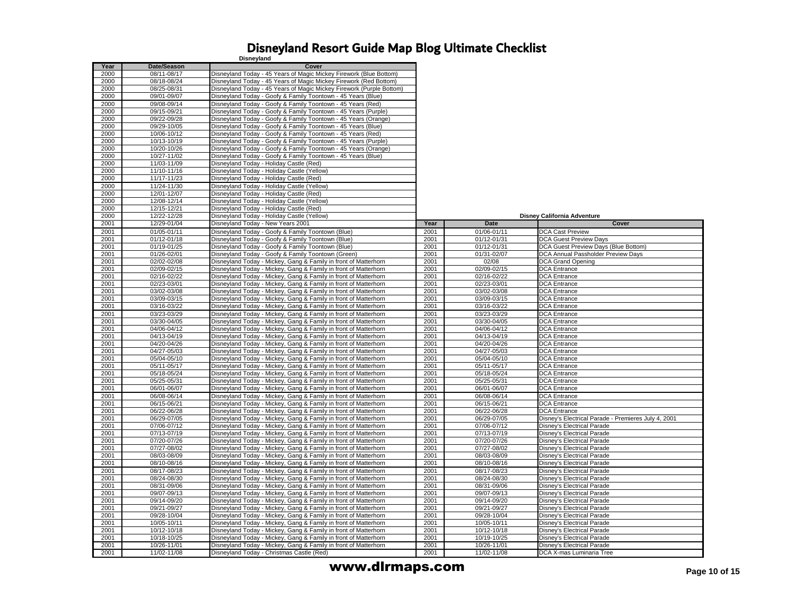|      |             | <b>DISTICYIGHU</b>                                                   |      |             |                                                     |
|------|-------------|----------------------------------------------------------------------|------|-------------|-----------------------------------------------------|
| Year | Date/Season | Cover                                                                |      |             |                                                     |
| 2000 | 08/11-08/17 | Disneyland Today - 45 Years of Magic Mickey Firework (Blue Bottom)   |      |             |                                                     |
| 2000 | 08/18-08/24 | Disneyland Today - 45 Years of Magic Mickey Firework (Red Bottom)    |      |             |                                                     |
| 2000 | 08/25-08/31 | Disneyland Today - 45 Years of Magic Mickey Firework (Purple Bottom) |      |             |                                                     |
| 2000 | 09/01-09/07 | Disneyland Today - Goofy & Family Toontown - 45 Years (Blue)         |      |             |                                                     |
| 2000 | 09/08-09/14 | Disneyland Today - Goofy & Family Toontown - 45 Years (Red)          |      |             |                                                     |
| 2000 | 09/15-09/21 | Disneyland Today - Goofy & Family Toontown - 45 Years (Purple)       |      |             |                                                     |
| 2000 | 09/22-09/28 | Disneyland Today - Goofy & Family Toontown - 45 Years (Orange)       |      |             |                                                     |
| 2000 | 09/29-10/05 | Disneyland Today - Goofy & Family Toontown - 45 Years (Blue)         |      |             |                                                     |
| 2000 | 10/06-10/12 |                                                                      |      |             |                                                     |
|      |             | Disneyland Today - Goofy & Family Toontown - 45 Years (Red)          |      |             |                                                     |
| 2000 | 10/13-10/19 | Disneyland Today - Goofy & Family Toontown - 45 Years (Purple)       |      |             |                                                     |
| 2000 | 10/20-10/26 | Disneyland Today - Goofy & Family Toontown - 45 Years (Orange)       |      |             |                                                     |
| 2000 | 10/27-11/02 | Disneyland Today - Goofy & Family Toontown - 45 Years (Blue)         |      |             |                                                     |
| 2000 | 11/03-11/09 | Disneyland Today - Holiday Castle (Red)                              |      |             |                                                     |
| 2000 | 11/10-11/16 | Disneyland Today - Holiday Castle (Yellow)                           |      |             |                                                     |
| 2000 | 11/17-11/23 | Disneyland Today - Holiday Castle (Red)                              |      |             |                                                     |
| 2000 | 11/24-11/30 | Disneyland Today - Holiday Castle (Yellow)                           |      |             |                                                     |
| 2000 | 12/01-12/07 | Disneyland Today - Holiday Castle (Red)                              |      |             |                                                     |
| 2000 | 12/08-12/14 | Disneyland Today - Holiday Castle (Yellow)                           |      |             |                                                     |
| 2000 | 12/15-12/21 | Disneyland Today - Holiday Castle (Red)                              |      |             |                                                     |
| 2000 | 12/22-12/28 | Disneyland Today - Holiday Castle (Yellow)                           |      |             | <b>Disney California Adventure</b>                  |
| 2001 | 12/29-01/04 | Disneyland Today - New Years 2001                                    | Year | <b>Date</b> | Cover                                               |
| 2001 | 01/05-01/11 | Disneyland Today - Goofy & Family Toontown (Blue)                    | 2001 | 01/06-01/11 | <b>DCA Cast Preview</b>                             |
| 2001 | 01/12-01/18 | Disneyland Today - Goofy & Family Toontown (Blue)                    | 2001 | 01/12-01/31 | DCA Guest Preview Days                              |
| 2001 | 01/19-01/25 | Disneyland Today - Goofy & Family Toontown (Blue)                    | 2001 | 01/12-01/31 | DCA Guest Preview Days (Blue Bottom)                |
| 2001 | 01/26-02/01 | Disneyland Today - Goofy & Family Toontown (Green)                   | 2001 | 01/31-02/07 | DCA Annual Passholder Preview Days                  |
| 2001 | 02/02-02/08 | Disneyland Today - Mickey, Gang & Family in front of Matterhorn      | 2001 | 02/08       | <b>DCA Grand Opening</b>                            |
| 2001 | 02/09-02/15 | Disneyland Today - Mickey, Gang & Family in front of Matterhorn      | 2001 | 02/09-02/15 | <b>DCA Entrance</b>                                 |
| 2001 | 02/16-02/22 | Disneyland Today - Mickey, Gang & Family in front of Matterhorn      | 2001 | 02/16-02/22 | <b>DCA Entrance</b>                                 |
|      |             |                                                                      |      |             |                                                     |
| 2001 | 02/23-03/01 | Disneyland Today - Mickey, Gang & Family in front of Matterhorn      | 2001 | 02/23-03/01 | DCA Entrance                                        |
| 2001 | 03/02-03/08 | Disneyland Today - Mickey, Gang & Family in front of Matterhorn      | 2001 | 03/02-03/08 | <b>DCA Entrance</b>                                 |
| 2001 | 03/09-03/15 | Disneyland Today - Mickey, Gang & Family in front of Matterhorn      | 2001 | 03/09-03/15 | <b>DCA Entrance</b>                                 |
| 2001 | 03/16-03/22 | Disneyland Today - Mickey, Gang & Family in front of Matterhorn      | 2001 | 03/16-03/22 | <b>DCA Entrance</b>                                 |
| 2001 | 03/23-03/29 | Disneyland Today - Mickey, Gang & Family in front of Matterhorn      | 2001 | 03/23-03/29 | <b>DCA Entrance</b>                                 |
| 2001 | 03/30-04/05 | Disneyland Today - Mickey, Gang & Family in front of Matterhorn      | 2001 | 03/30-04/05 | <b>DCA Entrance</b>                                 |
| 2001 | 04/06-04/12 | Disneyland Today - Mickey, Gang & Family in front of Matterhorn      | 2001 | 04/06-04/12 | <b>DCA Entrance</b>                                 |
| 2001 | 04/13-04/19 | Disneyland Today - Mickey, Gang & Family in front of Matterhorn      | 2001 | 04/13-04/19 | <b>DCA Entrance</b>                                 |
| 2001 | 04/20-04/26 | Disneyland Today - Mickey, Gang & Family in front of Matterhorn      | 2001 | 04/20-04/26 | <b>DCA Entrance</b>                                 |
| 2001 | 04/27-05/03 | Disneyland Today - Mickey, Gang & Family in front of Matterhorn      | 2001 | 04/27-05/03 | <b>DCA Entrance</b>                                 |
| 2001 | 05/04-05/10 | Disneyland Today - Mickey, Gang & Family in front of Matterhorn      | 2001 | 05/04-05/10 | <b>DCA Entrance</b>                                 |
| 2001 | 05/11-05/17 | Disneyland Today - Mickey, Gang & Family in front of Matterhorn      | 2001 | 05/11-05/17 | <b>DCA Entrance</b>                                 |
| 2001 | 05/18-05/24 | Disneyland Today - Mickey, Gang & Family in front of Matterhorn      | 2001 | 05/18-05/24 | DCA Entrance                                        |
| 2001 | 05/25-05/31 | Disneyland Today - Mickey, Gang & Family in front of Matterhorn      | 2001 | 05/25-05/31 | <b>DCA Entrance</b>                                 |
| 2001 | 06/01-06/07 | Disneyland Today - Mickey, Gang & Family in front of Matterhorn      | 2001 | 06/01-06/07 | <b>DCA Entrance</b>                                 |
| 2001 | 06/08-06/14 | Disneyland Today - Mickey, Gang & Family in front of Matterhorn      | 2001 | 06/08-06/14 | <b>DCA Entrance</b>                                 |
| 2001 | 06/15-06/21 | Disneyland Today - Mickey, Gang & Family in front of Matterhorn      | 2001 | 06/15-06/21 | <b>DCA Entrance</b>                                 |
| 2001 | 06/22-06/28 | Disneyland Today - Mickey, Gang & Family in front of Matterhorn      | 2001 | 06/22-06/28 | <b>DCA Entrance</b>                                 |
| 2001 | 06/29-07/05 | Disneyland Today - Mickey, Gang & Family in front of Matterhorn      | 2001 | 06/29-07/05 | Disney's Electrical Parade - Premieres July 4, 2001 |
| 2001 | 07/06-07/12 | Disneyland Today - Mickey, Gang & Family in front of Matterhorn      | 2001 | 07/06-07/12 | Disney's Electrical Parade                          |
| 2001 | 07/13-07/19 | Disneyland Today - Mickey, Gang & Family in front of Matterhorn      | 2001 | 07/13-07/19 | Disnev's Electrical Parade                          |
| 2001 | 07/20-07/26 | Disneyland Today - Mickey, Gang & Family in front of Matterhorn      | 2001 | 07/20-07/26 | Disney's Electrical Parade                          |
| 2001 | 07/27-08/02 | Disneyland Today - Mickey, Gang & Family in front of Matterhorn      | 2001 | 07/27-08/02 | Disney's Electrical Parade                          |
| 2001 | 08/03-08/09 | Disneyland Today - Mickey, Gang & Family in front of Matterhorn      | 2001 | 08/03-08/09 | Disney's Electrical Parade                          |
| 2001 | 08/10-08/16 | Disneyland Today - Mickey, Gang & Family in front of Matterhorn      | 2001 | 08/10-08/16 | Disney's Electrical Parade                          |
| 2001 | 08/17-08/23 | Disneyland Today - Mickey, Gang & Family in front of Matterhorn      | 2001 | 08/17-08/23 | Disney's Electrical Parade                          |
| 2001 | 08/24-08/30 | Disneyland Today - Mickey, Gang & Family in front of Matterhorn      | 2001 | 08/24-08/30 | Disney's Electrical Parade                          |
| 2001 | 08/31-09/06 | Disneyland Today - Mickey, Gang & Family in front of Matterhorn      | 2001 | 08/31-09/06 | Disney's Electrical Parade                          |
| 2001 | 09/07-09/13 | Disneyland Today - Mickey, Gang & Family in front of Matterhorn      | 2001 | 09/07-09/13 | Disney's Electrical Parade                          |
| 2001 | 09/14-09/20 | Disneyland Today - Mickey, Gang & Family in front of Matterhorn      | 2001 | 09/14-09/20 | Disney's Electrical Parade                          |
| 2001 | 09/21-09/27 |                                                                      | 2001 | 09/21-09/27 |                                                     |
|      |             | Disneyland Today - Mickey, Gang & Family in front of Matterhorn      |      |             | Disney's Electrical Parade                          |
| 2001 | 09/28-10/04 | Disneyland Today - Mickey, Gang & Family in front of Matterhorn      | 2001 | 09/28-10/04 | Disney's Electrical Parade                          |
| 2001 | 10/05-10/11 | Disneyland Today - Mickey, Gang & Family in front of Matterhorn      | 2001 | 10/05-10/11 | Disnev's Electrical Parade                          |
| 2001 | 10/12-10/18 | Disneyland Today - Mickey, Gang & Family in front of Matterhorn      | 2001 | 10/12-10/18 | Disney's Electrical Parade                          |
| 2001 | 10/18-10/25 | Disneyland Today - Mickey, Gang & Family in front of Matterhorn      | 2001 | 10/19-10/25 | Disney's Electrical Parade                          |
| 2001 | 10/26-11/01 | Disneyland Today - Mickey, Gang & Family in front of Matterhorn      | 2001 | 10/26-11/01 | Disney's Electrical Parade                          |
| 2001 | 11/02-11/08 | Disneyland Today - Christmas Castle (Red)                            | 2001 | 11/02-11/08 | DCA X-mas Luminaria Tree                            |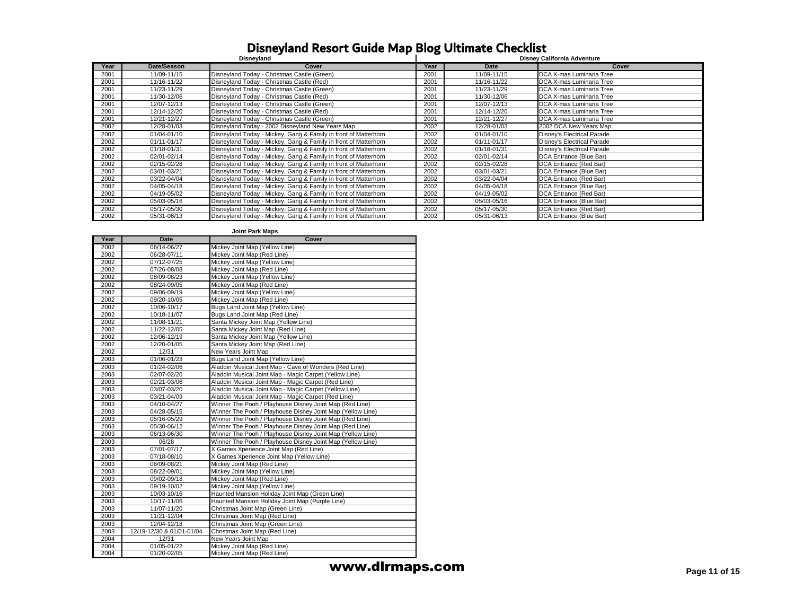| Disneyland |             |                                                                 |      | <b>Disney California Adventure</b> |                            |  |
|------------|-------------|-----------------------------------------------------------------|------|------------------------------------|----------------------------|--|
| Year       | Date/Season | Cover                                                           | Year | Date                               | Cover                      |  |
| 2001       | 11/09-11/15 | Disneyland Today - Christmas Castle (Green)                     | 2001 | 11/09-11/15                        | DCA X-mas Luminaria Tree   |  |
| 2001       | 11/16-11/22 | Disneyland Today - Christmas Castle (Red)                       | 2001 | 11/16-11/22                        | DCA X-mas Luminaria Tree   |  |
| 2001       | 11/23-11/29 | Disneyland Today - Christmas Castle (Green)                     | 2001 | 11/23-11/29                        | DCA X-mas Luminaria Tree   |  |
| 2001       | 11/30-12/06 | Disneyland Today - Christmas Castle (Red)                       | 2001 | 11/30-12/06                        | DCA X-mas Luminaria Tree   |  |
| 2001       | 12/07-12/13 | Disnevland Today - Christmas Castle (Green)                     | 2001 | 12/07-12/13                        | DCA X-mas Luminaria Tree   |  |
| 2001       | 12/14-12/20 | Disnevland Todav - Christmas Castle (Red)                       | 2001 | 12/14-12/20                        | DCA X-mas Luminaria Tree   |  |
| 2001       | 12/21-12/27 | Disneyland Today - Christmas Castle (Green)                     | 2001 | 12/21-12/27                        | DCA X-mas Luminaria Tree   |  |
| 2002       | 12/28-01/03 | Disneyland Today - 2002 Disneyland New Years Map                | 2002 | 12/28-01/03                        | 2002 DCA New Years Map     |  |
| 2002       | 01/04-01/10 | Disneyland Today - Mickey, Gang & Family in front of Matterhorn | 2002 | 01/04-01/10                        | Disney's Electrical Parade |  |
| 2002       | 01/11-01/17 | Disneyland Today - Mickey, Gang & Family in front of Matterhorn | 2002 | 01/11-01/17                        | Disney's Electrical Parade |  |
| 2002       | 01/18-01/31 | Disneyland Today - Mickey, Gang & Family in front of Matterhorn | 2002 | 01/18-01/31                        | Disney's Electrical Parade |  |
| 2002       | 02/01-02/14 | Disneyland Today - Mickey, Gang & Family in front of Matterhorn | 2002 | 02/01-02/14                        | DCA Entrance (Blue Bar)    |  |
| 2002       | 02/15-02/28 | Disneyland Today - Mickey, Gang & Family in front of Matterhorn | 2002 | 02/15-02/28                        | DCA Entrance (Red Bar)     |  |
| 2002       | 03/01-03/21 | Disneyland Today - Mickey, Gang & Family in front of Matterhorn | 2002 | 03/01-03/21                        | DCA Entrance (Blue Bar)    |  |
| 2002       | 03/22-04/04 | Disneyland Today - Mickey, Gang & Family in front of Matterhorn | 2002 | 03/22-04/04                        | DCA Entrance (Red Bar)     |  |
| 2002       | 04/05-04/18 | Disneyland Today - Mickey, Gang & Family in front of Matterhorn | 2002 | 04/05-04/18                        | DCA Entrance (Blue Bar)    |  |
| 2002       | 04/19-05/02 | Disneyland Today - Mickey, Gang & Family in front of Matterhorn | 2002 | 04/19-05/02                        | DCA Entrance (Red Bar)     |  |
| 2002       | 05/03-05/16 | Disneyland Today - Mickey, Gang & Family in front of Matterhorn | 2002 | 05/03-05/16                        | DCA Entrance (Blue Bar)    |  |
| 2002       | 05/17-05/30 | Disneyland Today - Mickey, Gang & Family in front of Matterhorn | 2002 | 05/17-05/30                        | DCA Entrance (Red Bar)     |  |
| 2002       | 05/31-06/13 | Disneyland Today - Mickey, Gang & Family in front of Matterhorn | 2002 | 05/31-06/13                        | DCA Entrance (Blue Bar)    |  |

#### **Joint Park Maps**

| Year | <b>Date</b>               | Cover                                                      |  |
|------|---------------------------|------------------------------------------------------------|--|
| 2002 | 06/14-06/27               | Mickey Joint Map (Yellow Line)                             |  |
| 2002 | 06/28-07/11               | Mickey Joint Map (Red Line)                                |  |
| 2002 | 07/12-07/25               | Mickey Joint Map (Yellow Line)                             |  |
| 2002 | 07/26-08/08               | Mickey Joint Map (Red Line)                                |  |
| 2002 | 08/09-08/23               | Mickey Joint Map (Yellow Line)                             |  |
| 2002 | 08/24-09/05               | Mickey Joint Map (Red Line)                                |  |
| 2002 | 09/06-09/19               | Mickey Joint Map (Yellow Line)                             |  |
| 2002 | 09/20-10/05               | Mickey Joint Map (Red Line)                                |  |
| 2002 | 10/06-10/17               | Bugs Land Joint Map (Yellow Line)                          |  |
| 2002 | 10/18-11/07               | Bugs Land Joint Map (Red Line)                             |  |
| 2002 | 11/08-11/21               | Santa Mickey Joint Map (Yellow Line)                       |  |
| 2002 | 11/22-12/05               | Santa Mickey Joint Map (Red Line)                          |  |
| 2002 | 12/06-12/19               | Santa Mickey Joint Map (Yellow Line)                       |  |
| 2002 | 12/20-01/05               | Santa Mickey Joint Map (Red Line)                          |  |
| 2002 | 12/31                     | New Years Joint Map                                        |  |
| 2003 | 01/06-01/23               | Bugs Land Joint Map (Yellow Line)                          |  |
| 2003 | 01/24-02/06               | Aladdin Musical Joint Map - Cave of Wonders (Red Line)     |  |
| 2003 | 02/07-02/20               | Aladdin Musical Joint Map - Magic Carpet (Yellow Line)     |  |
| 2003 | 02/21-03/06               | Aladdin Musical Joint Map - Magic Carpet (Red Line)        |  |
| 2003 | 03/07-03/20               | Aladdin Musical Joint Map - Magic Carpet (Yellow Line)     |  |
| 2003 | 03/21-04/09               | Aladdin Musical Joint Map - Magic Carpet (Red Line)        |  |
| 2003 | 04/10-04/27               | Winner The Pooh / Playhouse Disney Joint Map (Red Line)    |  |
| 2003 | 04/28-05/15               | Winner The Pooh / Playhouse Disney Joint Map (Yellow Line) |  |
| 2003 | 05/16-05/29               | Winner The Pooh / Playhouse Disney Joint Map (Red Line)    |  |
| 2003 | 05/30-06/12               | Winner The Pooh / Playhouse Disney Joint Map (Red Line)    |  |
| 2003 | 06/13-06/30               | Winner The Pooh / Playhouse Disney Joint Map (Yellow Line) |  |
| 2003 | 06/28                     | Winner The Pooh / Playhouse Disney Joint Map (Yellow Line) |  |
| 2003 | 07/01-07/17               | X Games Xperience Joint Map (Red Line)                     |  |
| 2003 | 07/18-08/10               | X Games Xperience Joint Map (Yellow Line)                  |  |
| 2003 | 08/09-08/21               | Mickey Joint Map (Red Line)                                |  |
| 2003 | 08/22-09/01               | Mickey Joint Map (Yellow Line)                             |  |
| 2003 | 09/02-09/18               | Mickey Joint Map (Red Line)                                |  |
| 2003 | 09/19-10/02               | Mickey Joint Map (Yellow Line)                             |  |
| 2003 | 10/03-10/16               | Haunted Mansion Holiday Joint Map (Green Line)             |  |
| 2003 | 10/17-11/06               | Haunted Mansion Holiday Joint Map (Purple Line)            |  |
| 2003 | 11/07-11/20               | Christmas Joint Map (Green Line)                           |  |
| 2003 | 11/21-12/04               | Christmas Joint Map (Red Line)                             |  |
| 2003 | 12/04-12/18               | Christmas Joint Map (Green Line)                           |  |
| 2003 | 12/19-12/30 & 01/01-01/04 | Christmas Joint Map (Red Line)                             |  |
| 2004 | 12/31                     | New Years Joint Map                                        |  |
| 2004 | 01/05-01/22               | Mickey Joint Map (Red Line)                                |  |
| 2004 | 01/20-02/05               | Mickey Joint Map (Red Line)                                |  |

**www.dlrmaps.com Page 11 of 15**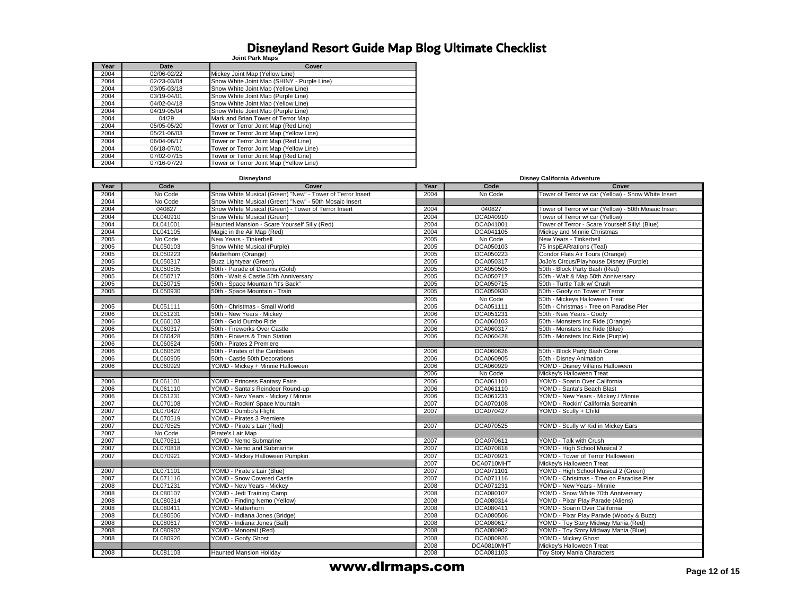#### Disneyland Resort Guide Map Blog Ultimate Checklist **Joint Park Maps**

| Year | Date        | Cover                                      |
|------|-------------|--------------------------------------------|
| 2004 | 02/06-02/22 | Mickey Joint Map (Yellow Line)             |
| 2004 | 02/23-03/04 | Snow White Joint Map (SHINY - Purple Line) |
| 2004 | 03/05-03/18 | Snow White Joint Map (Yellow Line)         |
| 2004 | 03/19-04/01 | Snow White Joint Map (Purple Line)         |
| 2004 | 04/02-04/18 | Snow White Joint Map (Yellow Line)         |
| 2004 | 04/19-05/04 | Snow White Joint Map (Purple Line)         |
| 2004 | 04/29       | Mark and Brian Tower of Terror Map         |
| 2004 | 05/05-05/20 | Tower or Terror Joint Map (Red Line)       |
| 2004 | 05/21-06/03 | Tower or Terror Joint Map (Yellow Line)    |
| 2004 | 06/04-06/17 | Tower or Terror Joint Map (Red Line)       |
| 2004 | 06/18-07/01 | Tower or Terror Joint Map (Yellow Line)    |
| 2004 | 07/02-07/15 | Tower or Terror Joint Map (Red Line)       |
| 2004 | 07/16-07/29 | Tower or Terror Joint Map (Yellow Line)    |

#### **Disneyland Disney California Adventure**

| Year | Code     | Cover                                                     | Year | Code       | Cover                                                |
|------|----------|-----------------------------------------------------------|------|------------|------------------------------------------------------|
| 2004 | No Code  | Snow White Musical (Green) "New" - Tower of Terror Insert | 2004 | No Code    | Tower of Terror w/ car (Yellow) - Snow White Insert  |
| 2004 | No Code  | Snow White Musical (Green) "New" - 50th Mosaic Insert     |      |            |                                                      |
| 2004 | 040827   | Snow White Musical (Green) - Tower of Terror Insert       | 2004 | 040827     | Tower of Terror w/ car (Yellow) - 50th Mosaic Insert |
| 2004 | DL040910 | Snow White Musical (Green)                                | 2004 | DCA040910  | Tower of Terror w/ car (Yellow)                      |
| 2004 | DL041001 | Haunted Mansion - Scare Yourself Silly (Red)              | 2004 | DCA041001  | Tower of Terror - Scare Yourself Silly! (Blue)       |
| 2004 | DL041105 | Magic in the Air Map (Red)                                | 2004 | DCA041105  | Mickey and Minnie Christmas                          |
| 2005 | No Code  | New Years - Tinkerbell                                    | 2005 | No Code    | New Years - Tinkerbell                               |
| 2005 | DL050103 | Snow White Musical (Purple)                               | 2005 | DCA050103  | 75 InspEARrations (Teal)                             |
| 2005 | DL050223 | Matterhorn (Orange)                                       | 2005 | DCA050223  | Condor Flats Air Tours (Orange)                      |
| 2005 | DL050317 | Buzz Lightyear (Green)                                    | 2005 | DCA050317  | JoJo's Circus/Playhouse Disney (Purple)              |
| 2005 | DL050505 | 50th - Parade of Dreams (Gold)                            | 2005 | DCA050505  | 50th - Block Party Bash (Red)                        |
| 2005 | DL050717 | 50th - Walt & Castle 50th Anniversary                     | 2005 | DCA050717  | 50th - Walt & Map 50th Anniversary                   |
| 2005 | DL050715 | 50th - Space Mountain "It's Back"                         | 2005 | DCA050715  | 50th - Turtle Talk w/ Crush                          |
| 2005 | DL050930 | 50th - Space Mountain - Train                             | 2005 | DCA050930  | 50th - Goofy on Tower of Terror                      |
|      |          |                                                           | 2005 | No Code    | 50th - Mickeys Halloween Treat                       |
| 2005 | DL051111 | 50th - Christmas - Small World                            | 2005 | DCA051111  | 50th - Christmas - Tree on Paradise Pier             |
| 2006 | DL051231 | 50th - New Years - Mickey                                 | 2006 | DCA051231  | 50th - New Years - Goofy                             |
| 2006 | DL060103 | 50th - Gold Dumbo Ride                                    | 2006 | DCA060103  | 50th - Monsters Inc Ride (Orange)                    |
| 2006 | DL060317 | 50th - Fireworks Over Castle                              | 2006 | DCA060317  | 50th - Monsters Inc Ride (Blue)                      |
| 2006 | DL060428 | 50th - Flowers & Train Station                            | 2006 | DCA060428  | 50th - Monsters Inc Ride (Purple)                    |
| 2006 | DL060624 | 50th - Pirates 2 Premiere                                 |      |            |                                                      |
| 2006 | DL060626 | 50th - Pirates of the Caribbean                           | 2006 | DCA060626  | 50th - Block Party Bash Cone                         |
| 2006 | DL060905 | 50th - Castle 50th Decorations                            | 2006 | DCA060905  | 50th - Disney Animation                              |
| 2006 | DL060929 | YOMD - Mickey + Minnie Halloween                          | 2006 | DCA060929  | YOMD - Disney Villains Halloween                     |
|      |          |                                                           | 2006 | No Code    | Mickey's Halloween Treat                             |
| 2006 | DL061101 | YOMD - Princess Fantasy Faire                             | 2006 | DCA061101  | YOMD - Soarin Over California                        |
| 2006 | DL061110 | YOMD - Santa's Reindeer Round-up                          | 2006 | DCA061110  | YOMD - Santa's Beach Blast                           |
| 2006 | DL061231 | YOMD - New Years - Mickey / Minnie                        | 2006 | DCA061231  | YOMD - New Years - Mickey / Minnie                   |
| 2007 | DL070108 | YOMD - Rockin' Space Mountain                             | 2007 | DCA070108  | YOMD - Rockin' California Screamin                   |
| 2007 | DL070427 | YOMD - Dumbo's Flight                                     | 2007 | DCA070427  | YOMD - Scully + Child                                |
| 2007 | DL070519 | YOMD - Pirates 3 Premiere                                 |      |            |                                                      |
| 2007 | DL070525 | YOMD - Pirate's Lair (Red)                                | 2007 | DCA070525  | YOMD - Scully w' Kid in Mickey Ears                  |
| 2007 | No Code  | Pirate's Lair Map                                         |      |            |                                                      |
| 2007 | DL070611 | YOMD - Nemo Submarine                                     | 2007 | DCA070611  | YOMD - Talk with Crush                               |
| 2007 | DL070818 | YOMD - Nemo and Submarine                                 | 2007 | DCA070818  | YOMD - High School Musical 2                         |
| 2007 | DL070921 | YOMD - Mickey Halloween Pumpkin                           | 2007 | DCA070921  | YOMD - Tower of Terror Halloween                     |
|      |          |                                                           | 2007 | DCA0710MHT | Mickey's Halloween Treat                             |
| 2007 | DL071101 | YOMD - Pirate's Lair (Blue)                               | 2007 | DCA071101  | YOMD - High School Musical 2 (Green)                 |
| 2007 | DL071116 | YOMD - Snow Covered Castle                                | 2007 | DCA071116  | YOMD - Christmas - Tree on Paradise Pier             |
| 2008 | DL071231 | YOMD - New Years - Mickey                                 | 2008 | DCA071231  | YOMD - New Years - Minnie                            |
| 2008 | DL080107 | YOMD - Jedi Training Camp                                 | 2008 | DCA080107  | YOMD - Snow White 70th Anniversary                   |
| 2008 | DL080314 | YOMD - Finding Nemo (Yellow)                              | 2008 | DCA080314  | YOMD - Pixar Play Parade (Aliens)                    |
| 2008 | DL080411 | YOMD - Matterhorn                                         | 2008 | DCA080411  | YOMD - Soarin Over California                        |
| 2008 | DL080506 | YOMD - Indiana Jones (Bridge)                             | 2008 | DCA080506  | YOMD - Pixar Play Parade (Woody & Buzz)              |
| 2008 | DL080617 | YOMD - Indiana Jones (Ball)                               | 2008 | DCA080617  | YOMD - Tov Story Midway Mania (Red)                  |
| 2008 | DL080902 | YOMD - Monorail (Red)                                     | 2008 | DCA080902  | YOMD - Toy Story Midway Mania (Blue)                 |
| 2008 | DL080926 | YOMD - Goofy Ghost                                        | 2008 | DCA080926  | YOMD - Mickey Ghost                                  |
|      |          |                                                           | 2008 | DCA0810MHT | Mickey's Halloween Treat                             |
| 2008 | DL081103 | <b>Haunted Mansion Holiday</b>                            | 2008 | DCA081103  | Toy Story Mania Characters                           |

#### **www.dlrmaps.com** Page 12 of 15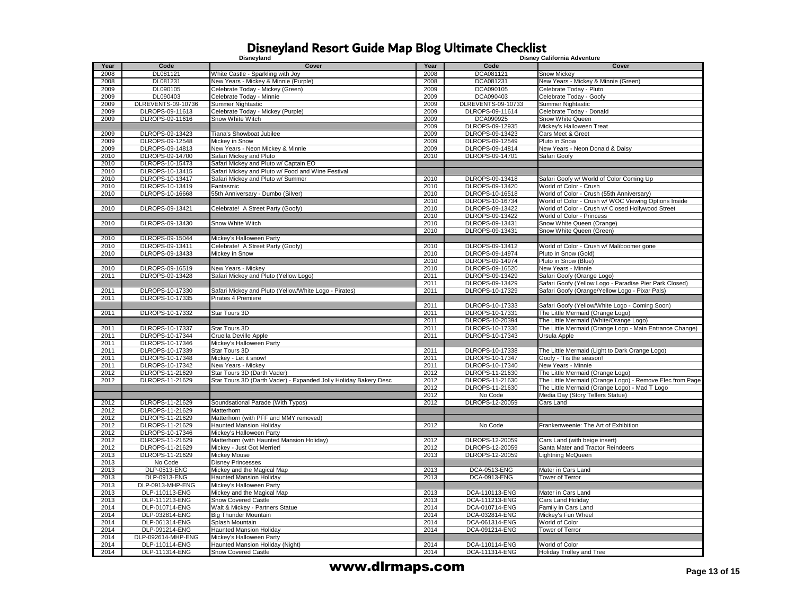|      | Disneyland          |                                                                  |      |                     | <b>Disney California Adventure</b>                                                                |
|------|---------------------|------------------------------------------------------------------|------|---------------------|---------------------------------------------------------------------------------------------------|
| Year | Code                | Cover                                                            | Year | Code                | Cover                                                                                             |
| 2008 | DL081121            | White Castle - Sparkling with Joy                                | 2008 | DCA081121           | <b>Snow Mickey</b>                                                                                |
| 2008 | DL081231            | New Years - Mickey & Minnie (Purple)                             | 2008 | DCA081231           | Vew Years - Mickey & Minnie (Green)                                                               |
| 2009 | DL090105            | Celebrate Today - Mickey (Green)                                 | 2009 | DCA090105           | Celebrate Today - Pluto                                                                           |
| 2009 | DL090403            | Celebrate Today - Minnie                                         | 2009 | DCA090403           | Celebrate Today - Goofy                                                                           |
| 2009 | DLREVENTS-09-10736  | Summer Nightastic                                                | 2009 | DLREVENTS-09-10733  | Summer Nightastic                                                                                 |
| 2009 | DLROPS-09-11613     | Celebrate Today - Mickey (Purple)                                | 2009 | DLROPS-09-11614     | Celebrate Today - Donald                                                                          |
| 2009 | DLROPS-09-11616     | Snow White Witch                                                 | 2009 | DCA090925           | Snow White Queen                                                                                  |
|      |                     |                                                                  | 2009 | DLROPS-09-12935     | Mickey's Halloween Treat                                                                          |
| 2009 | DLROPS-09-13423     | Tiana's Showboat Jubilee                                         | 2009 | DLROPS-09-13423     | Cars Meet & Greet                                                                                 |
| 2009 | DLROPS-09-12548     | Mickey in Snow                                                   | 2009 | DLROPS-09-12549     | Pluto in Snow                                                                                     |
| 2009 | DLROPS-09-14813     | New Years - Neon Mickey & Minnie                                 | 2009 | DLROPS-09-14814     | Vew Years - Neon Donald & Daisy                                                                   |
| 2010 | DLROPS-09-14700     | Safari Mickey and Pluto                                          | 2010 | DLROPS-09-14701     | Safari Goofy                                                                                      |
| 2010 | DLROPS-10-15473     | Safari Mickey and Pluto w/ Captain EO                            |      |                     |                                                                                                   |
| 2010 | DLROPS-10-13415     | Safari Mickey and Pluto w/ Food and Wine Festival                |      |                     |                                                                                                   |
| 2010 | DLROPS-10-13417     | Safari Mickey and Pluto w/ Summer                                | 2010 | DLROPS-09-13418     | Safari Goofy w/ World of Color Coming Up                                                          |
| 2010 | DLROPS-10-13419     | Fantasmic                                                        | 2010 | DLROPS-09-13420     | World of Color - Crush                                                                            |
| 2010 | DLROPS-10-16668     |                                                                  | 2010 | DLROPS-10-16518     |                                                                                                   |
|      |                     | 55th Anniversary - Dumbo (Silver)                                | 2010 | DLROPS-10-16734     | World of Color - Crush (55th Anniversary)<br>World of Color - Crush w/ WOC Viewing Options Inside |
|      |                     |                                                                  |      |                     |                                                                                                   |
| 2010 | DLROPS-09-13421     | Celebrate! A Street Party (Goofy)                                | 2010 | DLROPS-09-13422     | World of Color - Crush w/ Closed Hollywood Street                                                 |
|      |                     |                                                                  | 2010 | DLROPS-09-13422     | World of Color - Princess                                                                         |
| 2010 | DLROPS-09-13430     | Snow White Witch                                                 | 2010 | DLROPS-09-13431     | Snow White Queen (Orange)                                                                         |
|      |                     |                                                                  | 2010 | DLROPS-09-13431     | Snow White Queen (Green)                                                                          |
| 2010 | DLROPS-09-15044     | Mickey's Halloween Party                                         |      |                     |                                                                                                   |
| 2010 | DLROPS-09-13411     | Celebrate! A Street Party (Goofy)                                | 2010 | DLROPS-09-13412     | World of Color - Crush w/ Maliboomer gone                                                         |
| 2010 | DLROPS-09-13433     | Mickey in Snow                                                   | 2010 | DLROPS-09-14974     | Pluto in Snow (Gold)                                                                              |
|      |                     |                                                                  | 2010 | DLROPS-09-14974     | Pluto in Snow (Blue)                                                                              |
| 2010 | DLROPS-09-16519     | New Years - Mickey                                               | 2010 | DLROPS-09-16520     | New Years - Minnie                                                                                |
| 2011 | DLROPS-09-13428     | Safari Mickey and Pluto (Yellow Logo)                            | 2011 | DLROPS-09-13429     | Safari Goofy (Orange Logo)                                                                        |
|      |                     |                                                                  | 2011 | DLROPS-09-13429     | Safari Goofy (Yellow Logo - Paradise Pier Park Closed)                                            |
| 2011 | DLROPS-10-17330     | Safari Mickey and Pluto (Yellow/White Logo - Pirates)            | 2011 | DLROPS-10-17329     | Safari Goofy (Orange/Yellow Logo - Pixar Pals)                                                    |
| 2011 | DLROPS-10-17335     | Pirates 4 Premiere                                               |      |                     |                                                                                                   |
|      |                     |                                                                  | 2011 | DLROPS-10-17333     | Safari Goofy (Yellow/White Logo - Coming Soon)                                                    |
| 2011 | DLROPS-10-17332     | Star Tours 3D                                                    | 2011 | DLROPS-10-17331     | The Little Mermaid (Orange Logo)                                                                  |
|      |                     |                                                                  | 2011 | DLROPS-10-20394     | The Little Mermaid (White/Orange Logo)                                                            |
| 2011 | DLROPS-10-17337     | Star Tours 3D                                                    | 2011 | DLROPS-10-17336     | The Little Mermaid (Orange Logo - Main Entrance Change)                                           |
| 2011 | DLROPS-10-17344     | Cruella Deville Apple                                            | 2011 | DLROPS-10-17343     | Ursula Apple                                                                                      |
| 2011 | DLROPS-10-17346     | Mickey's Halloween Party                                         |      |                     |                                                                                                   |
| 2011 | DLROPS-10-17339     | Star Tours 3D                                                    | 2011 | DLROPS-10-17338     | The Little Mermaid (Light to Dark Orange Logo)                                                    |
| 2011 | DLROPS-10-17348     | Mickey - Let it snow!                                            | 2011 | DLROPS-10-17347     | Goofy - 'Tis the season!                                                                          |
| 2011 | DLROPS-10-17342     | New Years - Mickev                                               | 2011 | DLROPS-10-17340     | New Years - Minnie                                                                                |
| 2012 | DLROPS-11-21629     | Star Tours 3D (Darth Vader)                                      | 2012 | DLROPS-11-21630     | The Little Mermaid (Orange Logo)                                                                  |
| 2012 | DLROPS-11-21629     | Star Tours 3D (Darth Vader) - Expanded Jolly Holiday Bakery Desc | 2012 | DLROPS-11-21630     | The Little Mermaid (Orange Logo) - Remove Elec from Page                                          |
|      |                     |                                                                  | 2012 | DLROPS-11-21630     | The Little Mermaid (Orange Logo) - Mad T Logo                                                     |
|      |                     |                                                                  | 2012 | No Code             | Media Day (Story Tellers Statue)                                                                  |
| 2012 | DLROPS-11-21629     | Soundsational Parade (With Typos)                                | 2012 | DLROPS-12-20059     | Cars Land                                                                                         |
| 2012 | DLROPS-11-21629     | Matterhorn                                                       |      |                     |                                                                                                   |
| 2012 | DLROPS-11-21629     | Matterhorn (with PFF and MMY removed)                            |      |                     |                                                                                                   |
| 2012 | DLROPS-11-21629     | <b>Haunted Mansion Holiday</b>                                   | 2012 | No Code             | Frankenweenie: The Art of Exhibition                                                              |
| 2012 | DLROPS-10-17346     | Mickey's Halloween Party                                         |      |                     |                                                                                                   |
| 2012 | DLROPS-11-21629     | Matterhorn (with Haunted Mansion Holiday)                        | 2012 | DLROPS-12-20059     | Cars Land (with beige insert)                                                                     |
| 2012 | DLROPS-11-21629     | Mickey - Just Got Merrier!                                       | 2012 | DLROPS-12-20059     | Santa Mater and Tractor Reindeers                                                                 |
| 2013 | DLROPS-11-21629     | <b>Mickey Mouse</b>                                              | 2013 | DLROPS-12-20059     | ightning McQueen                                                                                  |
| 2013 | No Code             | <b>Disney Princesses</b>                                         |      |                     |                                                                                                   |
| 2013 | DLP-0513-ENG        | Mickey and the Magical Map                                       | 2013 | <b>DCA-0513-ENG</b> | Mater in Cars Land                                                                                |
| 2013 | <b>DLP-0913-ENG</b> | Haunted Mansion Holiday                                          | 2013 | DCA-0913-ENG        | Tower of Terror                                                                                   |
| 2013 | DLP-0913-MHP-ENG    | Mickey's Halloween Party                                         |      |                     |                                                                                                   |
| 2013 | DLP-110113-ENG      | Mickey and the Magical Map                                       | 2013 | DCA-110113-ENG      | Mater in Cars Land                                                                                |
| 2013 | DLP-111213-ENG      | Snow Covered Castle                                              | 2013 | DCA-111213-ENG      | Cars Land Holiday                                                                                 |
| 2014 | DLP-010714-ENG      | <b>Walt &amp; Mickey - Partners Statue</b>                       | 2014 | DCA-010714-ENG      | Family in Cars Land                                                                               |
| 2014 | DLP-032814-ENG      | Big Thunder Mountain                                             | 2014 | DCA-032814-ENG      | Mickey's Fun Wheel                                                                                |
| 2014 | DLP-061314-ENG      | Splash Mountain                                                  | 2014 | DCA-061314-ENG      | World of Color                                                                                    |
| 2014 | DLP-091214-ENG      | Haunted Mansion Holiday                                          | 2014 | DCA-091214-ENG      | <b>Tower of Terror</b>                                                                            |
| 2014 | DLP-092614-MHP-ENG  | Mickey's Halloween Party                                         |      |                     |                                                                                                   |
| 2014 | DLP-110114-ENG      | Haunted Mansion Holiday (Night)                                  | 2014 | DCA-110114-ENG      | World of Color                                                                                    |
| 2014 | DLP-111314-ENG      | Snow Covered Castle                                              | 2014 | DCA-111314-ENG      | Holiday Trolley and Tree                                                                          |
|      |                     |                                                                  |      |                     |                                                                                                   |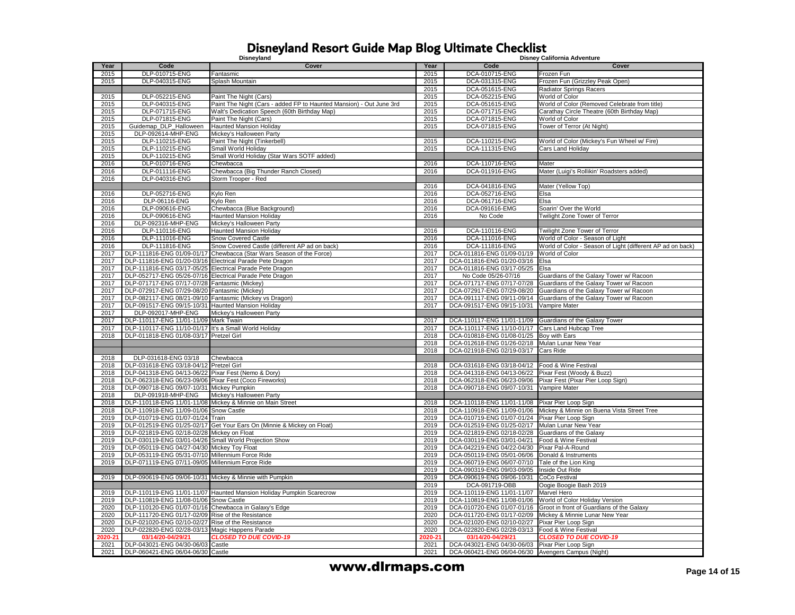|              |                                                          | <b>Disneyland</b>                                                    |              |                                                          | <b>Disney California Adventure</b>                         |
|--------------|----------------------------------------------------------|----------------------------------------------------------------------|--------------|----------------------------------------------------------|------------------------------------------------------------|
| Year         | Code                                                     | Cover                                                                | Year         | Code                                                     | Cover                                                      |
| 2015         | DLP-010715-ENG                                           | Fantasmic                                                            | 2015         | DCA-010715-ENG                                           | Frozen Fun                                                 |
| 2015         | DLP-040315-ENG                                           | Splash Mountain                                                      | 2015         | DCA-031315-ENG                                           | Frozen Fun (Grizzley Peak Open)                            |
|              |                                                          |                                                                      | 2015         | DCA-051615-ENG                                           | Radiator Springs Racers                                    |
| 2015         | DLP-052215-ENG                                           | Paint The Night (Cars)                                               | 2015         | DCA-052215-ENG                                           | <b>Norld of Color</b>                                      |
| 2015         | DLP-040315-ENG                                           | Paint The Night (Cars - added FP to Haunted Mansion) - Out June 3rd  | 2015         | DCA-051615-ENG                                           | World of Color (Removed Celebrate from title)              |
| 2015         | DLP-071715-ENG                                           | Walt's Dedication Speech (60th Birthday Map)                         | 2015         | DCA-071715-ENG                                           | Carathay Circle Theatre (60th Birthday Map)                |
| 2015         | DLP-071815-ENG                                           | Paint The Night (Cars)                                               | 2015         | DCA-071815-ENG                                           | <b>Norld of Color</b>                                      |
| 2015         | Guidemap_DLP_Halloween                                   | <b>Haunted Mansion Holiday</b>                                       | 2015         | DCA-071815-ENG                                           | Tower of Terror (At Night)                                 |
| 2015         | DLP-092614-MHP-ENG                                       | Mickey's Halloween Party                                             |              |                                                          |                                                            |
| 2015         | DLP-110215-ENG                                           | Paint The Night (Tinkerbell)                                         | 2015         | DCA-110215-ENG                                           | World of Color (Mickey's Fun Wheel w/ Fire)                |
| 2015         | DLP-110215-ENG                                           | Small World Holiday                                                  | 2015         | DCA-111315-ENG                                           | Cars Land Holiday                                          |
| 2015         | DLP-110215-ENG                                           | Small World Holiday (Star Wars SOTF added)                           |              |                                                          |                                                            |
| 2016         | DLP-010716-ENG                                           | Chewbacca                                                            | 2016         | DCA-110716-ENG                                           | Mater                                                      |
| 2016         | DLP-011116-ENG                                           | Chewbacca (Big Thunder Ranch Closed)                                 | 2016         | DCA-011916-ENG                                           | Mater (Luigi's Rollikin' Roadsters added)                  |
| 2016         | DLP-040316-ENG                                           | Storm Trooper - Red                                                  |              |                                                          |                                                            |
|              |                                                          |                                                                      | 2016         | DCA-041816-ENG                                           | Mater (Yellow Top)                                         |
| 2016         | DLP-052716-ENG                                           | Kylo Ren                                                             | 2016         | DCA-052716-ENG                                           | Elsa                                                       |
| 2016         | DLP-06116-ENG                                            | Kylo Ren                                                             | 2016         | DCA-061716-ENG                                           | Elsa                                                       |
| 2016         | DLP-090616-ENG                                           | Chewbacca (Blue Background)                                          | 2016         | DCA-091616-EMG                                           | Soarin' Over the World                                     |
| 2016         | DLP-090616-ENG                                           | Haunted Mansion Holiday                                              | 2016         | No Code                                                  | Twilight Zone Tower of Terror                              |
| 2016         | DLP-092316-MHP-ENG                                       | Mickey's Halloween Party                                             |              |                                                          |                                                            |
| 2016         | DLP-110116-ENG                                           | Haunted Mansion Holiday                                              | 2016         | DCA-110116-ENG                                           | Twilight Zone Tower of Terror                              |
| 2016         | DLP-111016-ENG                                           | Snow Covered Castle                                                  | 2016         | DCA-111016-ENG                                           | World of Color - Season of Light                           |
| 2016         | DLP-111816-ENG                                           | Snow Covered Castle (different AP ad on back)                        | 2016         | DCA-111816-ENG                                           | World of Color - Season of Light (different AP ad on back) |
| 2017         |                                                          | DLP-111816-ENG 01/09-01/17 Chewbacca (Star Wars Season of the Force) | 2017         | DCA-011816-ENG 01/09-01/19                               | World of Color                                             |
| 2017         | DLP-111816-ENG 01/20-03/16 Electrical Parade Pete Dragon |                                                                      | 2017         | DCA-011816-ENG 01/20-03/16                               | Elsa                                                       |
| 2017         | DLP-111816-ENG 03/17-05/25 Electrical Parade Pete Dragon |                                                                      | 2017         | DCA-011816-ENG 03/17-05/25                               | Elsa                                                       |
| 2017         | DLP-052717-ENG 05/26-07/16                               | Electrical Parade Pete Dragon                                        | 2017         | No Code 05/26-07/16                                      | Guardians of the Galaxy Tower w/ Racoon                    |
| 2017         | DLP-071717-ENG 07/17-07/28                               | Fantasmic (Mickey)                                                   | 2017         | DCA-071717-ENG 07/17-07/28                               | Guardians of the Galaxy Tower w/ Racoon                    |
| 2017         | DLP-072917-ENG 07/29-08/20                               | Fantasmic (Mickey)                                                   | 2017         | DCA-072917-ENG 07/29-08/20                               | Guardians of the Galaxy Tower w/ Racoon                    |
| 2017         | DLP-082117-ENG 08/21-09/10                               | Fantasmic (Mickey vs Dragon)                                         | 2017         | DCA-091117-ENG 09/11-09/14                               | Guardians of the Galaxy Tower w/ Racoon                    |
| 2017         | DLP-091517-ENG 09/15-10/31                               | <b>Haunted Mansion Holiday</b>                                       | 2017         | DCA-091517-ENG 09/15-10/31                               | Vampire Mater                                              |
| 2017         | DLP-092017-MHP-ENG                                       | Mickey's Halloween Party                                             |              |                                                          |                                                            |
| 2017         | DLP-110117-ENG 11/01-11/09                               | Mark Twain                                                           | 2017         | DCA-110117-ENG 11/01-11/09                               | Guardians of the Galaxy Tower                              |
| 2017         | DLP-110117-ENG 11/10-01/17                               | It's a Small World Holiday                                           | 2017         | DCA-110117-ENG 11/10-01/17                               | Cars Land Hubcap Tree                                      |
| 2018         | DLP-011818-ENG 01/08-03/17                               | <b>Pretzel Girl</b>                                                  | 2018         | DCA-010818-ENG 01/08-01/25                               | Bov with Ears                                              |
|              |                                                          |                                                                      | 2018         | DCA-012618-ENG 01/26-02/18                               | Mulan Lunar New Year                                       |
|              |                                                          |                                                                      | 2018         | DCA-021918-ENG 02/19-03/17                               | Cars Ride                                                  |
| 2018         | DLP-031618-ENG 03/18                                     | Chewbacca                                                            |              |                                                          |                                                            |
| 2018         | DLP-031618-ENG 03/18-04/12 Pretzel Girl                  |                                                                      | 2018         | DCA-031618-ENG 03/18-04/12                               | Food & Wine Festival                                       |
| 2018         | DLP-041318-ENG 04/13-06/22                               | Pixar Fest (Nemo & Dory)                                             | 2018         | DCA-041318-ENG 04/13-06/22                               | Pixar Fest (Woody & Buzz)                                  |
| 2018         | DLP-062318-ENG 06/23-09/06 Pixar Fest (Coco Fireworks)   |                                                                      | 2018         | DCA-062318-ENG 06/23-09/06                               | Pixar Fest (Pixar Pier Loop Sign)                          |
| 2018         | DLP-090718-ENG 09/07-10/31                               | Mickey Pumpkin                                                       | 2018         | DCA-090718-ENG 09/07-10/31                               | Vampire Mater                                              |
| 2018         | DLP-091918-MHP-ENG                                       | Mickey's Halloween Party                                             |              |                                                          |                                                            |
| 2018         | DLP-110118-ENG 11/01-11/08                               | Mickey & Minnie on Main Street                                       | 2018         | DCA-110118-ENG 11/01-11/08                               | Pixar Pier Loop Sign                                       |
| 2018         | DLP-110918-ENG 11/09-01/06                               | <b>Snow Castle</b>                                                   | 2018         | DCA-110918-ENG 11/09-01/06                               | Mickey & Minnie on Buena Vista Street Tree                 |
| 2019         | DLP-010719-ENG 01/07-01/24                               | Train                                                                | 2019         | DCA-010719-ENG 01/07-01/24                               | Pixar Pier Loop Sign                                       |
| 2019<br>2019 | DLP-012519-ENG 01/25-02/17<br>DLP-021819-ENG 02/18-02/28 | Get Your Ears On (Minnie & Mickey on Float)<br>Mickey on Float       | 2019<br>2019 | DCA-012519-ENG 01/25-02/17<br>DCA-021819-ENG 02/18-02/28 | Mulan Lunar New Year<br>Guardians of the Galaxy            |
|              | DLP-030119-ENG 03/01-04/26                               | Small World Projection Show                                          |              | DCA-030119-ENG 03/01-04/21                               | Food & Wine Festival                                       |
| 2019<br>2019 | DLP-050119-ENG 04/27-04/30 Mickey Toy Float              |                                                                      | 2019<br>2019 | DCA-042219-ENG 04/22-04/30                               | Pixar Pal-A-Round                                          |
| 2019         | DLP-053119-ENG 05/31-07/10                               | Millennium Force Ride                                                | 2019         |                                                          | Donald & Instruments                                       |
| 2019         | DLP-071119-ENG 07/11-09/05                               |                                                                      | 2019         | DCA-050119-ENG 05/01-06/06<br>DCA-060719-ENG 06/07-07/10 |                                                            |
|              |                                                          | Millennium Force Ride                                                | 2019         | DCA-090319-ENG 09/03-09/05                               | Tale of the Lion King<br>Inside Out Ride                   |
| 2019         | DLP-090619-ENG 09/06-10/31 Mickey & Minnie with Pumpkin  |                                                                      | 2019         | DCA-090619-ENG 09/06-10/31                               | CoCo Festival                                              |
|              |                                                          |                                                                      | 2019         | DCA-091719-OBB                                           | Oogie Boogie Bash 2019                                     |
| 2019         |                                                          | DLP-110119-ENG 11/01-11/07 Haunted Mansion Holiday Pumpkin Scarecrow | 2019         | DCA-110119-ENG 11/01-11/07                               | Marvel Hero                                                |
| 2019         | DLP-110819-ENG 11/08-01/06 Snow Castle                   |                                                                      | 2019         | DCA-110819-ENG 11/08-01/06                               | World of Color Holiday Version                             |
| 2020         | DLP-110120-ENG 01/07-01/16 Chewbacca in Galaxy's Edge    |                                                                      | 2019         | DCA-010720-ENG 01/07-01/16                               | Groot in front of Guardians of the Galaxy                  |
| 2020         | DLP-111720-ENG 01/17-02/09 Rise of the Resistance        |                                                                      | 2020         | DCA-011720-ENG 01/17-02/09                               | Mickey & Minnie Lunar New Year                             |
| 2020         | DLP-021020-ENG 02/10-02/27                               | Rise of the Resistance                                               | 2020         | DCA-021020-ENG 02/10-02/27                               | Pixar Pier Loop Sign                                       |
| 2020         | DLP-022820-ENG 02/28-03/13                               | Magic Happens Parade                                                 | 2020         | DCA-022820-ENG 02/28-03/13                               | Food & Wine Festival                                       |
| 2020-21      | 03/14/20-04/29/21                                        | <b>CLOSED TO DUE COVID-19</b>                                        | 2020-21      | 03/14/20-04/29/21                                        | <b>CLOSED TO DUE COVID-19</b>                              |
| 2021         | DLP-043021-ENG 04/30-06/03                               | Castle                                                               | 2021         | DCA-043021-ENG 04/30-06/03                               | Pixar Pier Loop Sign                                       |
| 2021         | DLP-060421-ENG 06/04-06/30 Castle                        |                                                                      | 2021         | DCA-060421-ENG 06/04-06/30 Avengers Campus (Night)       |                                                            |
|              |                                                          |                                                                      |              |                                                          |                                                            |

#### **www.dlrmaps.com** Page 14 of 15